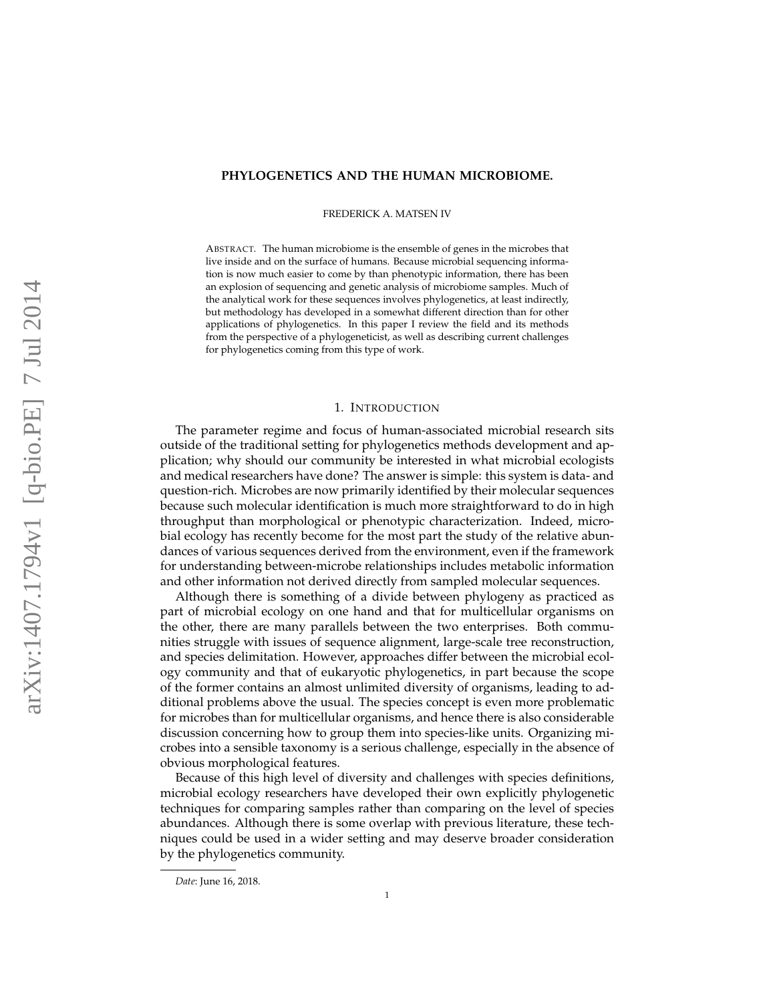## **PHYLOGENETICS AND THE HUMAN MICROBIOME.**

FREDERICK A. MATSEN IV

ABSTRACT. The human microbiome is the ensemble of genes in the microbes that live inside and on the surface of humans. Because microbial sequencing information is now much easier to come by than phenotypic information, there has been an explosion of sequencing and genetic analysis of microbiome samples. Much of the analytical work for these sequences involves phylogenetics, at least indirectly, but methodology has developed in a somewhat different direction than for other applications of phylogenetics. In this paper I review the field and its methods from the perspective of a phylogeneticist, as well as describing current challenges for phylogenetics coming from this type of work.

## 1. INTRODUCTION

The parameter regime and focus of human-associated microbial research sits outside of the traditional setting for phylogenetics methods development and application; why should our community be interested in what microbial ecologists and medical researchers have done? The answer is simple: this system is data- and question-rich. Microbes are now primarily identified by their molecular sequences because such molecular identification is much more straightforward to do in high throughput than morphological or phenotypic characterization. Indeed, microbial ecology has recently become for the most part the study of the relative abundances of various sequences derived from the environment, even if the framework for understanding between-microbe relationships includes metabolic information and other information not derived directly from sampled molecular sequences.

Although there is something of a divide between phylogeny as practiced as part of microbial ecology on one hand and that for multicellular organisms on the other, there are many parallels between the two enterprises. Both communities struggle with issues of sequence alignment, large-scale tree reconstruction, and species delimitation. However, approaches differ between the microbial ecology community and that of eukaryotic phylogenetics, in part because the scope of the former contains an almost unlimited diversity of organisms, leading to additional problems above the usual. The species concept is even more problematic for microbes than for multicellular organisms, and hence there is also considerable discussion concerning how to group them into species-like units. Organizing microbes into a sensible taxonomy is a serious challenge, especially in the absence of obvious morphological features.

Because of this high level of diversity and challenges with species definitions, microbial ecology researchers have developed their own explicitly phylogenetic techniques for comparing samples rather than comparing on the level of species abundances. Although there is some overlap with previous literature, these techniques could be used in a wider setting and may deserve broader consideration by the phylogenetics community.

*Date*: June 16, 2018.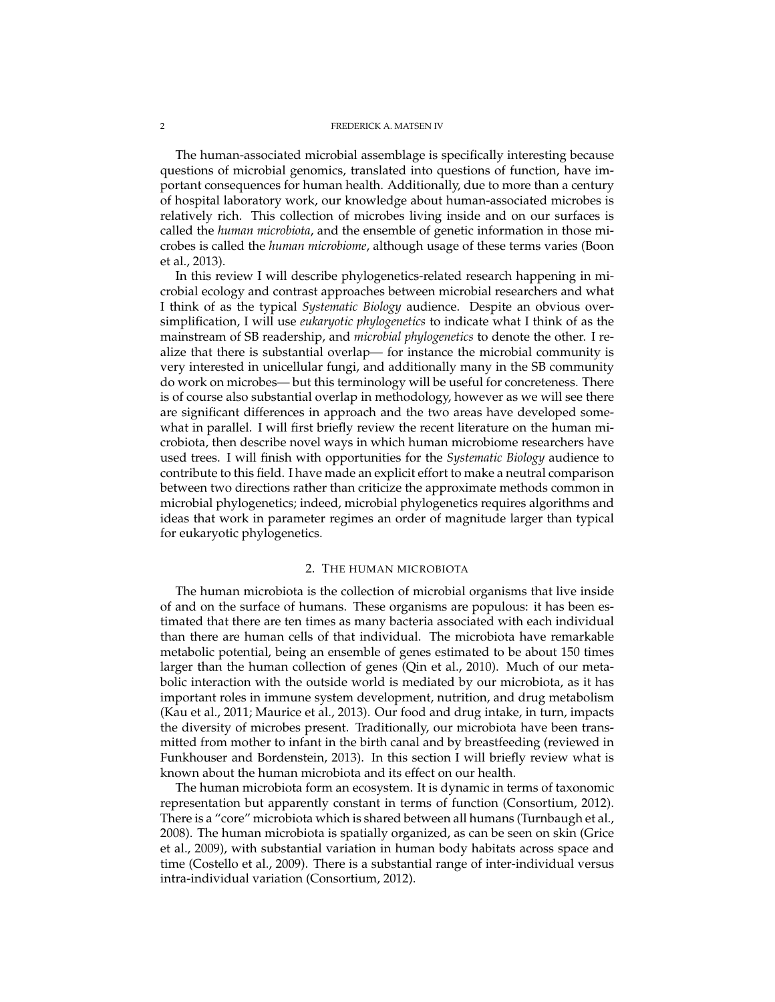### 2 FREDERICK A. MATSEN IV

The human-associated microbial assemblage is specifically interesting because questions of microbial genomics, translated into questions of function, have important consequences for human health. Additionally, due to more than a century of hospital laboratory work, our knowledge about human-associated microbes is relatively rich. This collection of microbes living inside and on our surfaces is called the *human microbiota*, and the ensemble of genetic information in those microbes is called the *human microbiome*, although usage of these terms varies [\(Boon](#page-17-0) [et al., 2013\)](#page-17-0).

In this review I will describe phylogenetics-related research happening in microbial ecology and contrast approaches between microbial researchers and what I think of as the typical *Systematic Biology* audience. Despite an obvious oversimplification, I will use *eukaryotic phylogenetics* to indicate what I think of as the mainstream of SB readership, and *microbial phylogenetics* to denote the other. I realize that there is substantial overlap— for instance the microbial community is very interested in unicellular fungi, and additionally many in the SB community do work on microbes— but this terminology will be useful for concreteness. There is of course also substantial overlap in methodology, however as we will see there are significant differences in approach and the two areas have developed somewhat in parallel. I will first briefly review the recent literature on the human microbiota, then describe novel ways in which human microbiome researchers have used trees. I will finish with opportunities for the *Systematic Biology* audience to contribute to this field. I have made an explicit effort to make a neutral comparison between two directions rather than criticize the approximate methods common in microbial phylogenetics; indeed, microbial phylogenetics requires algorithms and ideas that work in parameter regimes an order of magnitude larger than typical for eukaryotic phylogenetics.

## 2. THE HUMAN MICROBIOTA

The human microbiota is the collection of microbial organisms that live inside of and on the surface of humans. These organisms are populous: it has been estimated that there are ten times as many bacteria associated with each individual than there are human cells of that individual. The microbiota have remarkable metabolic potential, being an ensemble of genes estimated to be about 150 times larger than the human collection of genes [\(Qin et al., 2010\)](#page-27-0). Much of our metabolic interaction with the outside world is mediated by our microbiota, as it has important roles in immune system development, nutrition, and drug metabolism [\(Kau et al., 2011;](#page-22-0) [Maurice et al., 2013\)](#page-24-0). Our food and drug intake, in turn, impacts the diversity of microbes present. Traditionally, our microbiota have been transmitted from mother to infant in the birth canal and by breastfeeding (reviewed in [Funkhouser and Bordenstein, 2013\)](#page-20-0). In this section I will briefly review what is known about the human microbiota and its effect on our health.

The human microbiota form an ecosystem. It is dynamic in terms of taxonomic representation but apparently constant in terms of function [\(Consortium, 2012\)](#page-19-0). There is a "core" microbiota which is shared between all humans [\(Turnbaugh et al.,](#page-29-0) [2008\)](#page-29-0). The human microbiota is spatially organized, as can be seen on skin [\(Grice](#page-20-1) [et al., 2009\)](#page-20-1), with substantial variation in human body habitats across space and time [\(Costello et al., 2009\)](#page-19-1). There is a substantial range of inter-individual versus intra-individual variation [\(Consortium, 2012\)](#page-19-0).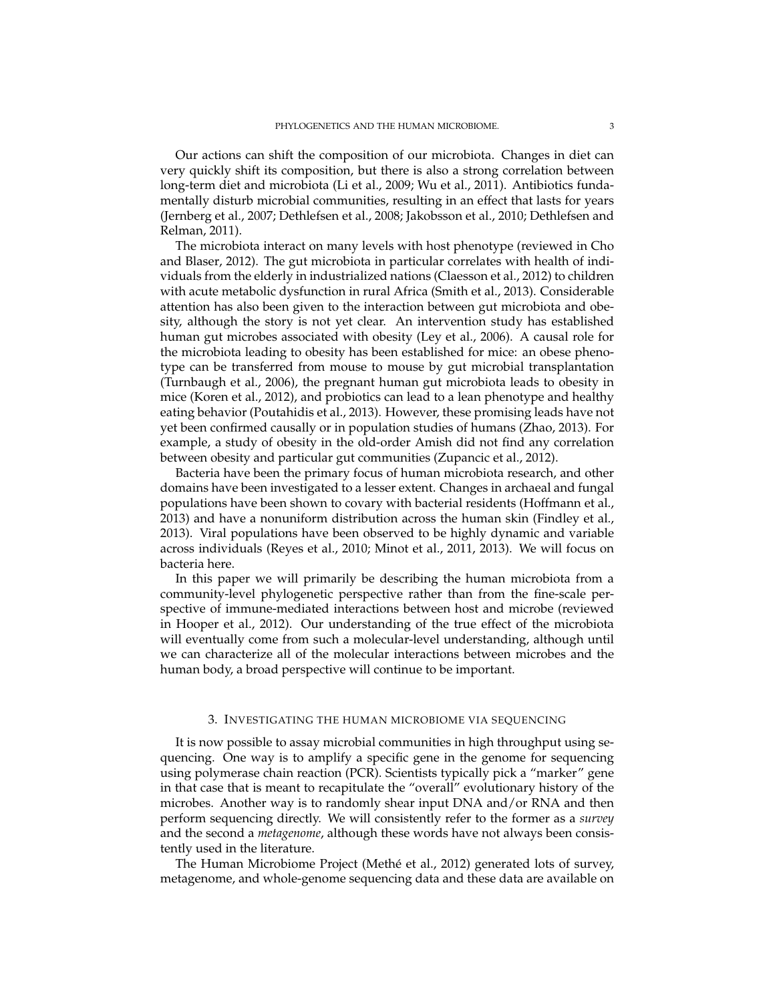Our actions can shift the composition of our microbiota. Changes in diet can very quickly shift its composition, but there is also a strong correlation between long-term diet and microbiota [\(Li et al., 2009;](#page-23-0) [Wu et al., 2011\)](#page-30-0). Antibiotics fundamentally disturb microbial communities, resulting in an effect that lasts for years [\(Jernberg et al., 2007;](#page-21-0) [Dethlefsen et al., 2008;](#page-19-2) [Jakobsson et al., 2010;](#page-21-1) [Dethlefsen and](#page-19-3) [Relman, 2011\)](#page-19-3).

The microbiota interact on many levels with host phenotype (reviewed in [Cho](#page-18-0) [and Blaser, 2012\)](#page-18-0). The gut microbiota in particular correlates with health of individuals from the elderly in industrialized nations [\(Claesson et al., 2012\)](#page-18-1) to children with acute metabolic dysfunction in rural Africa [\(Smith et al., 2013\)](#page-28-0). Considerable attention has also been given to the interaction between gut microbiota and obesity, although the story is not yet clear. An intervention study has established human gut microbes associated with obesity [\(Ley et al., 2006\)](#page-23-1). A causal role for the microbiota leading to obesity has been established for mice: an obese phenotype can be transferred from mouse to mouse by gut microbial transplantation [\(Turnbaugh et al., 2006\)](#page-29-1), the pregnant human gut microbiota leads to obesity in mice [\(Koren et al., 2012\)](#page-22-1), and probiotics can lead to a lean phenotype and healthy eating behavior [\(Poutahidis et al., 2013\)](#page-26-0). However, these promising leads have not yet been confirmed causally or in population studies of humans [\(Zhao, 2013\)](#page-30-1). For example, a study of obesity in the old-order Amish did not find any correlation between obesity and particular gut communities [\(Zupancic et al., 2012\)](#page-30-2).

Bacteria have been the primary focus of human microbiota research, and other domains have been investigated to a lesser extent. Changes in archaeal and fungal populations have been shown to covary with bacterial residents [\(Hoffmann et al.,](#page-21-2) [2013\)](#page-21-2) and have a nonuniform distribution across the human skin [\(Findley et al.,](#page-20-2) [2013\)](#page-20-2). Viral populations have been observed to be highly dynamic and variable across individuals [\(Reyes et al., 2010;](#page-27-1) [Minot et al., 2011,](#page-25-0) [2013\)](#page-25-1). We will focus on bacteria here.

In this paper we will primarily be describing the human microbiota from a community-level phylogenetic perspective rather than from the fine-scale perspective of immune-mediated interactions between host and microbe (reviewed in [Hooper et al., 2012\)](#page-21-3). Our understanding of the true effect of the microbiota will eventually come from such a molecular-level understanding, although until we can characterize all of the molecular interactions between microbes and the human body, a broad perspective will continue to be important.

## 3. INVESTIGATING THE HUMAN MICROBIOME VIA SEQUENCING

It is now possible to assay microbial communities in high throughput using sequencing. One way is to amplify a specific gene in the genome for sequencing using polymerase chain reaction (PCR). Scientists typically pick a "marker" gene in that case that is meant to recapitulate the "overall" evolutionary history of the microbes. Another way is to randomly shear input DNA and/or RNA and then perform sequencing directly. We will consistently refer to the former as a *survey* and the second a *metagenome*, although these words have not always been consistently used in the literature.

The Human Microbiome Project [\(Methe et al., 2012\)](#page-24-1) generated lots of survey, ´ metagenome, and whole-genome sequencing data and these data are available on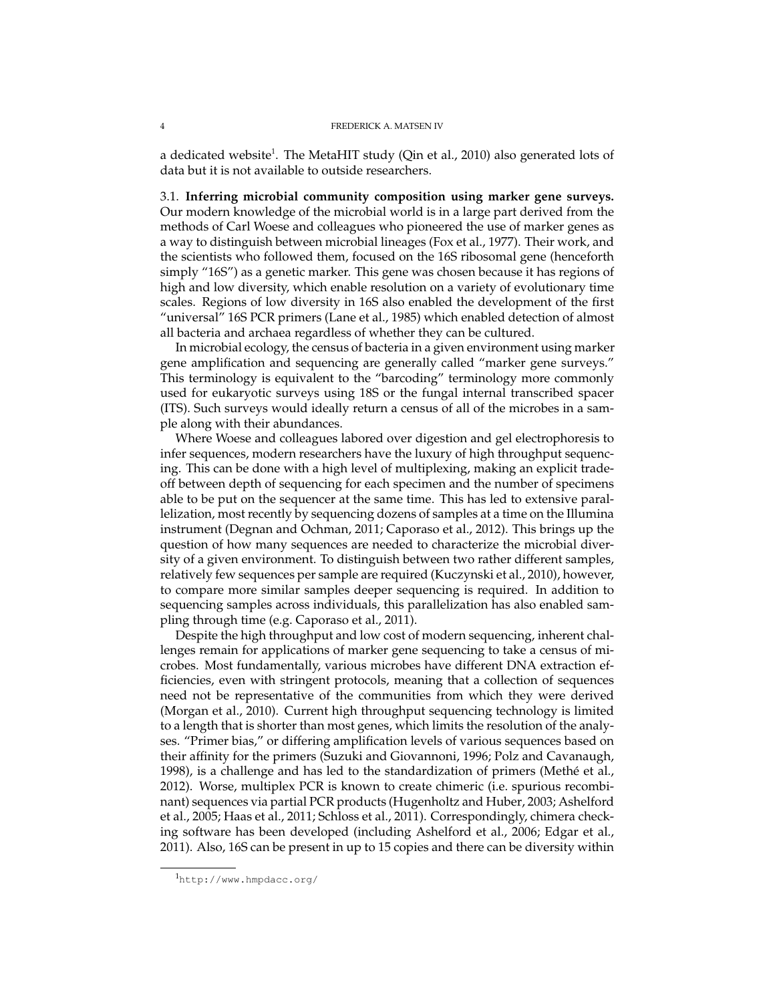a dedicated website<sup>[1](#page-3-0)</sup>. The MetaHIT study [\(Qin et al., 2010\)](#page-27-0) also generated lots of data but it is not available to outside researchers.

3.1. **Inferring microbial community composition using marker gene surveys.** Our modern knowledge of the microbial world is in a large part derived from the methods of Carl Woese and colleagues who pioneered the use of marker genes as a way to distinguish between microbial lineages [\(Fox et al., 1977\)](#page-20-3). Their work, and the scientists who followed them, focused on the 16S ribosomal gene (henceforth simply "16S") as a genetic marker. This gene was chosen because it has regions of high and low diversity, which enable resolution on a variety of evolutionary time scales. Regions of low diversity in 16S also enabled the development of the first "universal" 16S PCR primers [\(Lane et al., 1985\)](#page-22-2) which enabled detection of almost all bacteria and archaea regardless of whether they can be cultured.

In microbial ecology, the census of bacteria in a given environment using marker gene amplification and sequencing are generally called "marker gene surveys." This terminology is equivalent to the "barcoding" terminology more commonly used for eukaryotic surveys using 18S or the fungal internal transcribed spacer (ITS). Such surveys would ideally return a census of all of the microbes in a sample along with their abundances.

Where Woese and colleagues labored over digestion and gel electrophoresis to infer sequences, modern researchers have the luxury of high throughput sequencing. This can be done with a high level of multiplexing, making an explicit tradeoff between depth of sequencing for each specimen and the number of specimens able to be put on the sequencer at the same time. This has led to extensive parallelization, most recently by sequencing dozens of samples at a time on the Illumina instrument [\(Degnan and Ochman, 2011;](#page-19-4) [Caporaso et al., 2012\)](#page-18-2). This brings up the question of how many sequences are needed to characterize the microbial diversity of a given environment. To distinguish between two rather different samples, relatively few sequences per sample are required [\(Kuczynski et al., 2010\)](#page-22-3), however, to compare more similar samples deeper sequencing is required. In addition to sequencing samples across individuals, this parallelization has also enabled sampling through time (e.g. [Caporaso et al., 2011\)](#page-18-3).

Despite the high throughput and low cost of modern sequencing, inherent challenges remain for applications of marker gene sequencing to take a census of microbes. Most fundamentally, various microbes have different DNA extraction efficiencies, even with stringent protocols, meaning that a collection of sequences need not be representative of the communities from which they were derived [\(Morgan et al., 2010\)](#page-25-2). Current high throughput sequencing technology is limited to a length that is shorter than most genes, which limits the resolution of the analyses. "Primer bias," or differing amplification levels of various sequences based on their affinity for the primers [\(Suzuki and Giovannoni, 1996;](#page-29-2) [Polz and Cavanaugh,](#page-26-1) [1998\)](#page-26-1), is a challenge and has led to the standardization of primers [\(Methe et al.,](#page-24-1) ´ [2012\)](#page-24-1). Worse, multiplex PCR is known to create chimeric (i.e. spurious recombinant) sequences via partial PCR products [\(Hugenholtz and Huber, 2003;](#page-21-4) [Ashelford](#page-17-1) [et al., 2005;](#page-17-1) [Haas et al., 2011;](#page-21-5) [Schloss et al., 2011\)](#page-27-2). Correspondingly, chimera checking software has been developed (including [Ashelford et al., 2006;](#page-17-2) [Edgar et al.,](#page-20-4) [2011\)](#page-20-4). Also, 16S can be present in up to 15 copies and there can be diversity within

<span id="page-3-0"></span><sup>1</sup><http://www.hmpdacc.org/>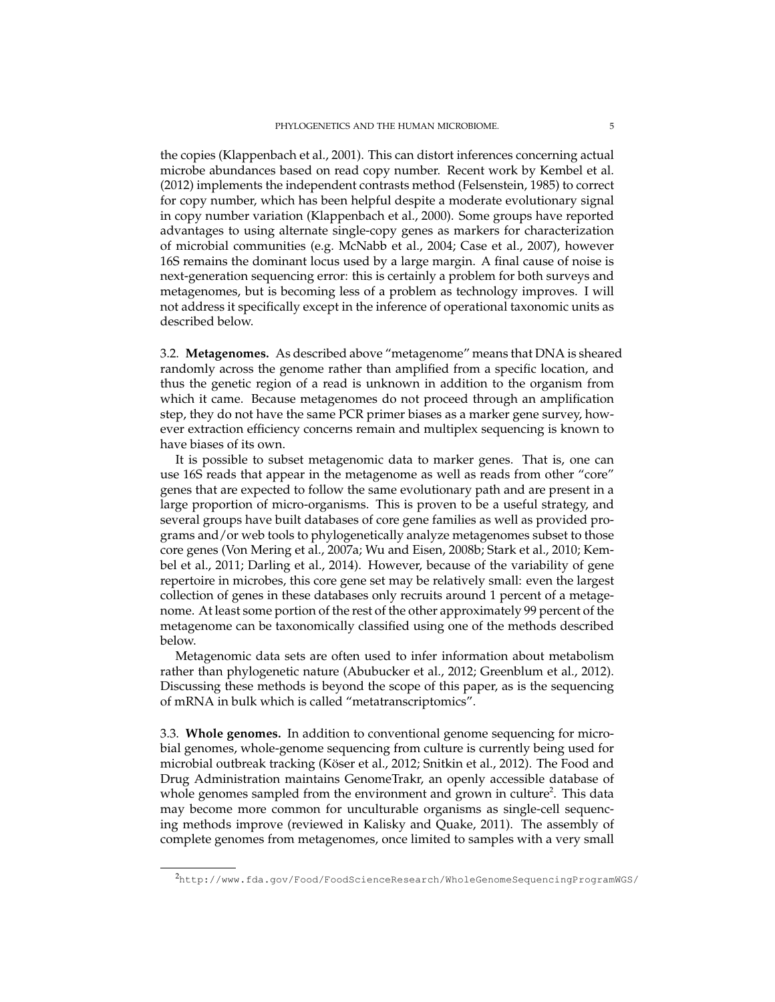the copies [\(Klappenbach et al., 2001\)](#page-22-4). This can distort inferences concerning actual microbe abundances based on read copy number. Recent work by [Kembel et al.](#page-22-5) [\(2012\)](#page-22-5) implements the independent contrasts method [\(Felsenstein, 1985\)](#page-20-5) to correct for copy number, which has been helpful despite a moderate evolutionary signal in copy number variation [\(Klappenbach et al., 2000\)](#page-22-6). Some groups have reported advantages to using alternate single-copy genes as markers for characterization of microbial communities (e.g. [McNabb et al., 2004;](#page-24-2) [Case et al., 2007\)](#page-18-4), however 16S remains the dominant locus used by a large margin. A final cause of noise is next-generation sequencing error: this is certainly a problem for both surveys and metagenomes, but is becoming less of a problem as technology improves. I will not address it specifically except in the inference of operational taxonomic units as described below.

3.2. **Metagenomes.** As described above "metagenome" means that DNA is sheared randomly across the genome rather than amplified from a specific location, and thus the genetic region of a read is unknown in addition to the organism from which it came. Because metagenomes do not proceed through an amplification step, they do not have the same PCR primer biases as a marker gene survey, however extraction efficiency concerns remain and multiplex sequencing is known to have biases of its own.

It is possible to subset metagenomic data to marker genes. That is, one can use 16S reads that appear in the metagenome as well as reads from other "core" genes that are expected to follow the same evolutionary path and are present in a large proportion of micro-organisms. This is proven to be a useful strategy, and several groups have built databases of core gene families as well as provided programs and/or web tools to phylogenetically analyze metagenomes subset to those core genes [\(Von Mering et al., 2007a;](#page-29-3) [Wu and Eisen, 2008b;](#page-30-3) [Stark et al., 2010;](#page-28-1) [Kem](#page-22-7)[bel et al., 2011;](#page-22-7) [Darling et al., 2014\)](#page-19-5). However, because of the variability of gene repertoire in microbes, this core gene set may be relatively small: even the largest collection of genes in these databases only recruits around 1 percent of a metagenome. At least some portion of the rest of the other approximately 99 percent of the metagenome can be taxonomically classified using one of the methods described below.

Metagenomic data sets are often used to infer information about metabolism rather than phylogenetic nature [\(Abubucker et al., 2012;](#page-16-0) [Greenblum et al., 2012\)](#page-20-6). Discussing these methods is beyond the scope of this paper, as is the sequencing of mRNA in bulk which is called "metatranscriptomics".

3.3. **Whole genomes.** In addition to conventional genome sequencing for microbial genomes, whole-genome sequencing from culture is currently being used for microbial outbreak tracking (Köser et al., 2012; [Snitkin et al., 2012\)](#page-28-2). The Food and Drug Administration maintains GenomeTrakr, an openly accessible database of whole genomes sampled from the environment and grown in culture<sup>[2](#page-4-0)</sup>. This data may become more common for unculturable organisms as single-cell sequencing methods improve (reviewed in [Kalisky and Quake, 2011\)](#page-21-6). The assembly of complete genomes from metagenomes, once limited to samples with a very small

<span id="page-4-0"></span><sup>2</sup><http://www.fda.gov/Food/FoodScienceResearch/WholeGenomeSequencingProgramWGS/>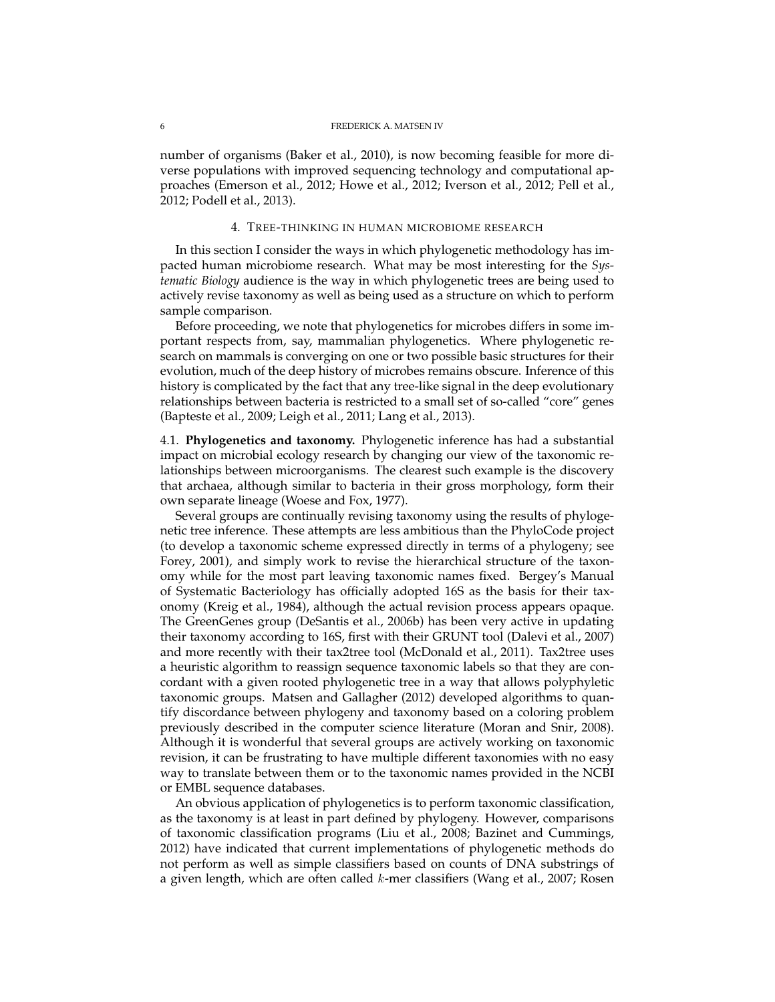### 6 FREDERICK A. MATSEN IV

number of organisms [\(Baker et al., 2010\)](#page-17-3), is now becoming feasible for more diverse populations with improved sequencing technology and computational approaches [\(Emerson et al., 2012;](#page-20-7) [Howe et al., 2012;](#page-21-7) [Iverson et al., 2012;](#page-21-8) [Pell et al.,](#page-26-2) [2012;](#page-26-2) [Podell et al., 2013\)](#page-26-3).

# 4. TREE-THINKING IN HUMAN MICROBIOME RESEARCH

In this section I consider the ways in which phylogenetic methodology has impacted human microbiome research. What may be most interesting for the *Systematic Biology* audience is the way in which phylogenetic trees are being used to actively revise taxonomy as well as being used as a structure on which to perform sample comparison.

Before proceeding, we note that phylogenetics for microbes differs in some important respects from, say, mammalian phylogenetics. Where phylogenetic research on mammals is converging on one or two possible basic structures for their evolution, much of the deep history of microbes remains obscure. Inference of this history is complicated by the fact that any tree-like signal in the deep evolutionary relationships between bacteria is restricted to a small set of so-called "core" genes [\(Bapteste et al., 2009;](#page-17-4) [Leigh et al., 2011;](#page-23-2) [Lang et al., 2013\)](#page-23-3).

4.1. **Phylogenetics and taxonomy.** Phylogenetic inference has had a substantial impact on microbial ecology research by changing our view of the taxonomic relationships between microorganisms. The clearest such example is the discovery that archaea, although similar to bacteria in their gross morphology, form their own separate lineage [\(Woese and Fox, 1977\)](#page-29-4).

Several groups are continually revising taxonomy using the results of phylogenetic tree inference. These attempts are less ambitious than the PhyloCode project (to develop a taxonomic scheme expressed directly in terms of a phylogeny; see [Forey, 2001\)](#page-20-8), and simply work to revise the hierarchical structure of the taxonomy while for the most part leaving taxonomic names fixed. Bergey's Manual of Systematic Bacteriology has officially adopted 16S as the basis for their taxonomy [\(Kreig et al., 1984\)](#page-22-9), although the actual revision process appears opaque. The GreenGenes group [\(DeSantis et al., 2006b\)](#page-19-6) has been very active in updating their taxonomy according to 16S, first with their GRUNT tool [\(Dalevi et al., 2007\)](#page-19-7) and more recently with their tax2tree tool [\(McDonald et al., 2011\)](#page-24-3). Tax2tree uses a heuristic algorithm to reassign sequence taxonomic labels so that they are concordant with a given rooted phylogenetic tree in a way that allows polyphyletic taxonomic groups. [Matsen and Gallagher](#page-24-4) [\(2012\)](#page-24-4) developed algorithms to quantify discordance between phylogeny and taxonomy based on a coloring problem previously described in the computer science literature [\(Moran and Snir, 2008\)](#page-25-3). Although it is wonderful that several groups are actively working on taxonomic revision, it can be frustrating to have multiple different taxonomies with no easy way to translate between them or to the taxonomic names provided in the NCBI or EMBL sequence databases.

An obvious application of phylogenetics is to perform taxonomic classification, as the taxonomy is at least in part defined by phylogeny. However, comparisons of taxonomic classification programs [\(Liu et al., 2008;](#page-23-4) [Bazinet and Cummings,](#page-17-5) [2012\)](#page-17-5) have indicated that current implementations of phylogenetic methods do not perform as well as simple classifiers based on counts of DNA substrings of a given length, which are often called k-mer classifiers [\(Wang et al., 2007;](#page-29-5) [Rosen](#page-27-3)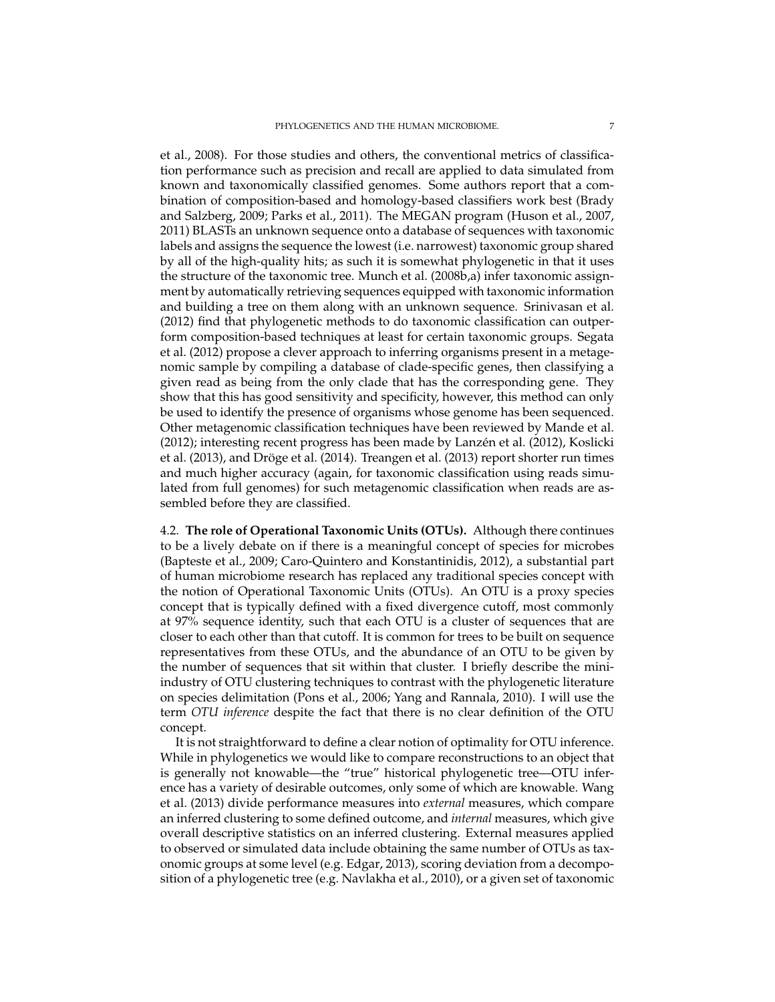[et al., 2008\)](#page-27-3). For those studies and others, the conventional metrics of classification performance such as precision and recall are applied to data simulated from known and taxonomically classified genomes. Some authors report that a combination of composition-based and homology-based classifiers work best [\(Brady](#page-17-6) [and Salzberg, 2009;](#page-17-6) [Parks et al., 2011\)](#page-26-4). The MEGAN program [\(Huson et al., 2007,](#page-21-9) [2011\)](#page-21-10) BLASTs an unknown sequence onto a database of sequences with taxonomic labels and assigns the sequence the lowest (i.e. narrowest) taxonomic group shared by all of the high-quality hits; as such it is somewhat phylogenetic in that it uses the structure of the taxonomic tree. [Munch et al.](#page-25-4) [\(2008b,](#page-25-4)[a\)](#page-25-5) infer taxonomic assignment by automatically retrieving sequences equipped with taxonomic information and building a tree on them along with an unknown sequence. [Srinivasan et al.](#page-28-3) [\(2012\)](#page-28-3) find that phylogenetic methods to do taxonomic classification can outperform composition-based techniques at least for certain taxonomic groups. [Segata](#page-28-4) [et al.](#page-28-4) [\(2012\)](#page-28-4) propose a clever approach to inferring organisms present in a metagenomic sample by compiling a database of clade-specific genes, then classifying a given read as being from the only clade that has the corresponding gene. They show that this has good sensitivity and specificity, however, this method can only be used to identify the presence of organisms whose genome has been sequenced. Other metagenomic classification techniques have been reviewed by [Mande et al.](#page-23-5) [\(2012\)](#page-23-6); interesting recent progress has been made by Lanzén et al. (2012), [Koslicki](#page-22-10) [et al.](#page-22-10) [\(2013\)](#page-29-6), and Dröge et al. [\(2014\)](#page-19-8). [Treangen et al.](#page-29-6) (2013) report shorter run times and much higher accuracy (again, for taxonomic classification using reads simulated from full genomes) for such metagenomic classification when reads are assembled before they are classified.

4.2. **The role of Operational Taxonomic Units (OTUs).** Although there continues to be a lively debate on if there is a meaningful concept of species for microbes [\(Bapteste et al., 2009;](#page-17-4) [Caro-Quintero and Konstantinidis, 2012\)](#page-18-5), a substantial part of human microbiome research has replaced any traditional species concept with the notion of Operational Taxonomic Units (OTUs). An OTU is a proxy species concept that is typically defined with a fixed divergence cutoff, most commonly at 97% sequence identity, such that each OTU is a cluster of sequences that are closer to each other than that cutoff. It is common for trees to be built on sequence representatives from these OTUs, and the abundance of an OTU to be given by the number of sequences that sit within that cluster. I briefly describe the miniindustry of OTU clustering techniques to contrast with the phylogenetic literature on species delimitation [\(Pons et al., 2006;](#page-26-5) [Yang and Rannala, 2010\)](#page-30-4). I will use the term *OTU inference* despite the fact that there is no clear definition of the OTU concept.

It is not straightforward to define a clear notion of optimality for OTU inference. While in phylogenetics we would like to compare reconstructions to an object that is generally not knowable—the "true" historical phylogenetic tree—OTU inference has a variety of desirable outcomes, only some of which are knowable. [Wang](#page-29-7) [et al.](#page-29-7) [\(2013\)](#page-29-7) divide performance measures into *external* measures, which compare an inferred clustering to some defined outcome, and *internal* measures, which give overall descriptive statistics on an inferred clustering. External measures applied to observed or simulated data include obtaining the same number of OTUs as taxonomic groups at some level (e.g. [Edgar, 2013\)](#page-19-9), scoring deviation from a decomposition of a phylogenetic tree (e.g. [Navlakha et al., 2010\)](#page-25-6), or a given set of taxonomic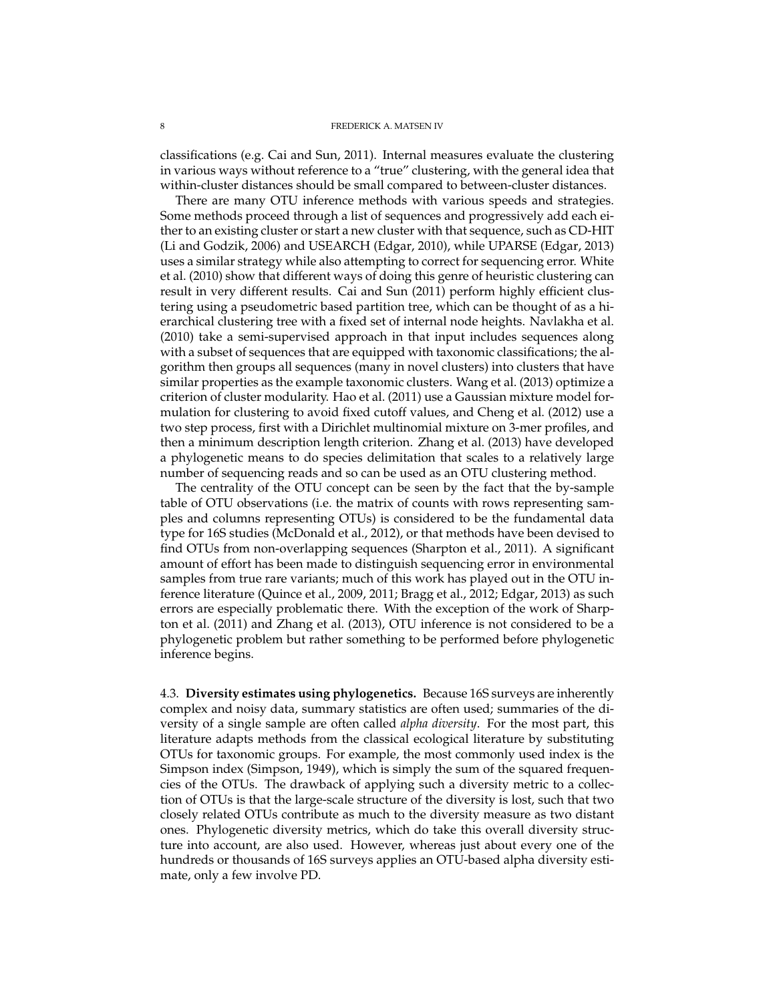classifications (e.g. [Cai and Sun, 2011\)](#page-17-7). Internal measures evaluate the clustering in various ways without reference to a "true" clustering, with the general idea that within-cluster distances should be small compared to between-cluster distances.

There are many OTU inference methods with various speeds and strategies. Some methods proceed through a list of sequences and progressively add each either to an existing cluster or start a new cluster with that sequence, such as CD-HIT [\(Li and Godzik, 2006\)](#page-23-7) and USEARCH [\(Edgar, 2010\)](#page-19-10), while UPARSE [\(Edgar, 2013\)](#page-19-9) uses a similar strategy while also attempting to correct for sequencing error. [White](#page-29-8) [et al.](#page-29-8) [\(2010\)](#page-29-8) show that different ways of doing this genre of heuristic clustering can result in very different results. [Cai and Sun](#page-17-7) [\(2011\)](#page-17-7) perform highly efficient clustering using a pseudometric based partition tree, which can be thought of as a hierarchical clustering tree with a fixed set of internal node heights. [Navlakha et al.](#page-25-6) [\(2010\)](#page-25-6) take a semi-supervised approach in that input includes sequences along with a subset of sequences that are equipped with taxonomic classifications; the algorithm then groups all sequences (many in novel clusters) into clusters that have similar properties as the example taxonomic clusters. [Wang et al.](#page-29-7) [\(2013\)](#page-29-7) optimize a criterion of cluster modularity. [Hao et al.](#page-21-11) [\(2011\)](#page-21-11) use a Gaussian mixture model formulation for clustering to avoid fixed cutoff values, and [Cheng et al.](#page-18-6) [\(2012\)](#page-18-6) use a two step process, first with a Dirichlet multinomial mixture on 3-mer profiles, and then a minimum description length criterion. [Zhang et al.](#page-30-5) [\(2013\)](#page-30-5) have developed a phylogenetic means to do species delimitation that scales to a relatively large number of sequencing reads and so can be used as an OTU clustering method.

The centrality of the OTU concept can be seen by the fact that the by-sample table of OTU observations (i.e. the matrix of counts with rows representing samples and columns representing OTUs) is considered to be the fundamental data type for 16S studies [\(McDonald et al., 2012\)](#page-24-5), or that methods have been devised to find OTUs from non-overlapping sequences [\(Sharpton et al., 2011\)](#page-28-5). A significant amount of effort has been made to distinguish sequencing error in environmental samples from true rare variants; much of this work has played out in the OTU inference literature [\(Quince et al., 2009,](#page-27-4) [2011;](#page-27-5) [Bragg et al., 2012;](#page-17-8) [Edgar, 2013\)](#page-19-9) as such errors are especially problematic there. With the exception of the work of [Sharp](#page-28-5)[ton et al.](#page-28-5) [\(2011\)](#page-28-5) and [Zhang et al.](#page-30-5) [\(2013\)](#page-30-5), OTU inference is not considered to be a phylogenetic problem but rather something to be performed before phylogenetic inference begins.

4.3. **Diversity estimates using phylogenetics.** Because 16S surveys are inherently complex and noisy data, summary statistics are often used; summaries of the diversity of a single sample are often called *alpha diversity*. For the most part, this literature adapts methods from the classical ecological literature by substituting OTUs for taxonomic groups. For example, the most commonly used index is the Simpson index [\(Simpson, 1949\)](#page-28-6), which is simply the sum of the squared frequencies of the OTUs. The drawback of applying such a diversity metric to a collection of OTUs is that the large-scale structure of the diversity is lost, such that two closely related OTUs contribute as much to the diversity measure as two distant ones. Phylogenetic diversity metrics, which do take this overall diversity structure into account, are also used. However, whereas just about every one of the hundreds or thousands of 16S surveys applies an OTU-based alpha diversity estimate, only a few involve PD.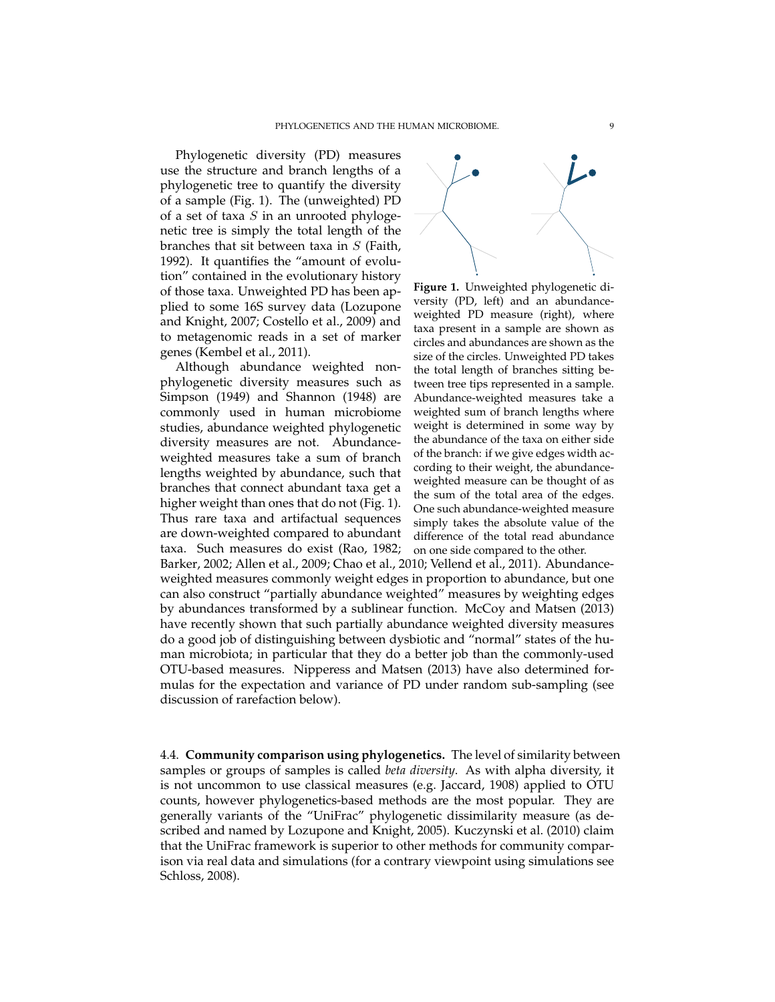Phylogenetic diversity (PD) measures use the structure and branch lengths of a phylogenetic tree to quantify the diversity of a sample (Fig. 1). The (unweighted) PD of a set of taxa  $S$  in an unrooted phylogenetic tree is simply the total length of the branches that sit between taxa in  $S$  [\(Faith,](#page-20-9) [1992\)](#page-20-9). It quantifies the "amount of evolution" contained in the evolutionary history of those taxa. Unweighted PD has been applied to some 16S survey data [\(Lozupone](#page-23-8) [and Knight, 2007;](#page-23-8) [Costello et al., 2009\)](#page-19-1) and to metagenomic reads in a set of marker genes [\(Kembel et al., 2011\)](#page-22-7).

Although abundance weighted nonphylogenetic diversity measures such as [Simpson](#page-28-6) [\(1949\)](#page-28-6) and [Shannon](#page-28-7) [\(1948\)](#page-28-7) are commonly used in human microbiome studies, abundance weighted phylogenetic diversity measures are not. Abundanceweighted measures take a sum of branch lengths weighted by abundance, such that branches that connect abundant taxa get a higher weight than ones that do not (Fig. [1\)](#page-8-0). Thus rare taxa and artifactual sequences are down-weighted compared to abundant taxa. Such measures do exist [\(Rao, 1982;](#page-27-6)

<span id="page-8-0"></span>

**Figure 1.** Unweighted phylogenetic diversity (PD, left) and an abundanceweighted PD measure (right), where taxa present in a sample are shown as circles and abundances are shown as the size of the circles. Unweighted PD takes the total length of branches sitting between tree tips represented in a sample. Abundance-weighted measures take a weighted sum of branch lengths where weight is determined in some way by the abundance of the taxa on either side of the branch: if we give edges width according to their weight, the abundanceweighted measure can be thought of as the sum of the total area of the edges. One such abundance-weighted measure simply takes the absolute value of the difference of the total read abundance on one side compared to the other.

[Barker, 2002;](#page-17-9) [Allen et al., 2009;](#page-17-10) [Chao et al., 2010;](#page-18-7) [Vellend et al., 2011\)](#page-29-9). Abundanceweighted measures commonly weight edges in proportion to abundance, but one can also construct "partially abundance weighted" measures by weighting edges by abundances transformed by a sublinear function. [McCoy and Matsen](#page-24-6) [\(2013\)](#page-24-6) have recently shown that such partially abundance weighted diversity measures do a good job of distinguishing between dysbiotic and "normal" states of the human microbiota; in particular that they do a better job than the commonly-used OTU-based measures. [Nipperess and Matsen](#page-26-6) [\(2013\)](#page-26-6) have also determined formulas for the expectation and variance of PD under random sub-sampling (see discussion of rarefaction below).

4.4. **Community comparison using phylogenetics.** The level of similarity between samples or groups of samples is called *beta diversity*. As with alpha diversity, it is not uncommon to use classical measures (e.g. [Jaccard, 1908\)](#page-21-12) applied to OTU counts, however phylogenetics-based methods are the most popular. They are generally variants of the "UniFrac" phylogenetic dissimilarity measure (as described and named by [Lozupone and Knight, 2005\)](#page-23-9). [Kuczynski et al.](#page-22-3) [\(2010\)](#page-22-3) claim that the UniFrac framework is superior to other methods for community comparison via real data and simulations (for a contrary viewpoint using simulations see [Schloss, 2008\)](#page-27-7).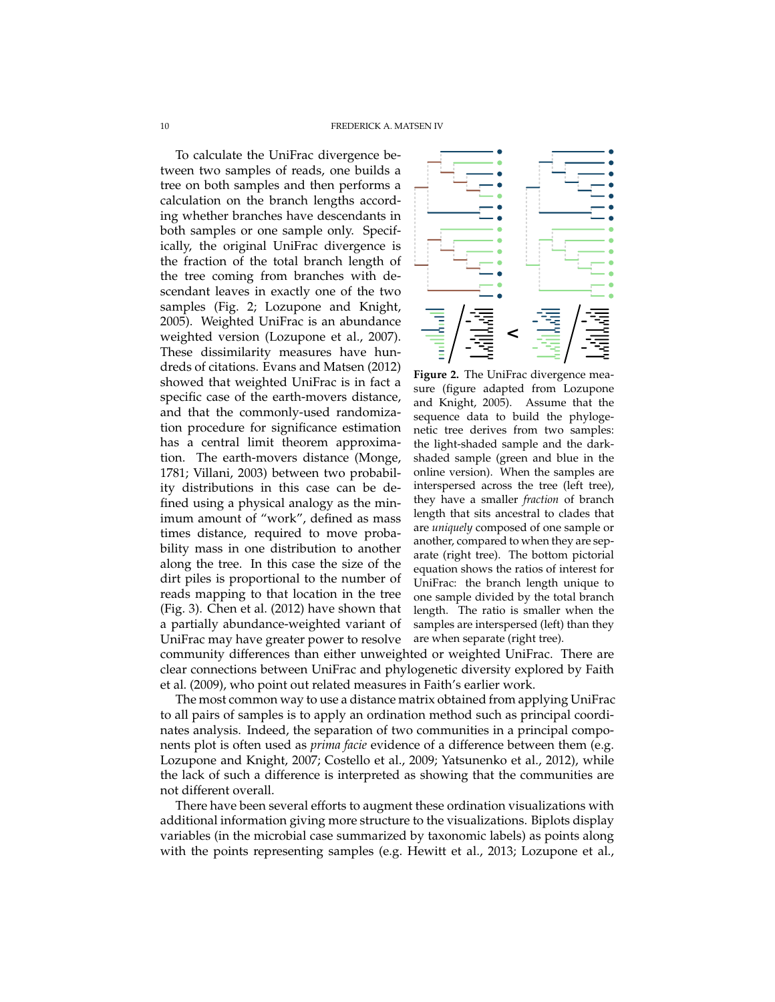To calculate the UniFrac divergence between two samples of reads, one builds a tree on both samples and then performs a calculation on the branch lengths according whether branches have descendants in both samples or one sample only. Specifically, the original UniFrac divergence is the fraction of the total branch length of the tree coming from branches with descendant leaves in exactly one of the two samples (Fig. [2;](#page-9-0) [Lozupone and Knight,](#page-23-9) [2005\)](#page-23-9). Weighted UniFrac is an abundance weighted version [\(Lozupone et al., 2007\)](#page-23-10). These dissimilarity measures have hundreds of citations. [Evans and Matsen](#page-20-10) [\(2012\)](#page-20-10) showed that weighted UniFrac is in fact a specific case of the earth-movers distance, and that the commonly-used randomization procedure for significance estimation has a central limit theorem approximation. The earth-movers distance [\(Monge,](#page-25-7) [1781;](#page-25-7) [Villani, 2003\)](#page-29-10) between two probability distributions in this case can be defined using a physical analogy as the minimum amount of "work", defined as mass times distance, required to move probability mass in one distribution to another along the tree. In this case the size of the dirt piles is proportional to the number of reads mapping to that location in the tree (Fig. [3\)](#page-10-0). [Chen et al.](#page-18-8) [\(2012\)](#page-18-8) have shown that a partially abundance-weighted variant of UniFrac may have greater power to resolve

<span id="page-9-0"></span>

**Figure 2.** The UniFrac divergence measure (figure adapted from [Lozupone](#page-23-9) [and Knight, 2005\)](#page-23-9). Assume that the sequence data to build the phylogenetic tree derives from two samples: the light-shaded sample and the darkshaded sample (green and blue in the online version). When the samples are interspersed across the tree (left tree), they have a smaller *fraction* of branch length that sits ancestral to clades that are *uniquely* composed of one sample or another, compared to when they are separate (right tree). The bottom pictorial equation shows the ratios of interest for UniFrac: the branch length unique to one sample divided by the total branch length. The ratio is smaller when the samples are interspersed (left) than they are when separate (right tree).

community differences than either unweighted or weighted UniFrac. There are clear connections between UniFrac and phylogenetic diversity explored by [Faith](#page-20-11) [et al.](#page-20-11) [\(2009\)](#page-20-11), who point out related measures in Faith's earlier work.

The most common way to use a distance matrix obtained from applying UniFrac to all pairs of samples is to apply an ordination method such as principal coordinates analysis. Indeed, the separation of two communities in a principal components plot is often used as *prima facie* evidence of a difference between them (e.g. [Lozupone and Knight, 2007;](#page-23-8) [Costello et al., 2009;](#page-19-1) [Yatsunenko et al., 2012\)](#page-30-6), while the lack of such a difference is interpreted as showing that the communities are not different overall.

There have been several efforts to augment these ordination visualizations with additional information giving more structure to the visualizations. Biplots display variables (in the microbial case summarized by taxonomic labels) as points along with the points representing samples (e.g. [Hewitt et al., 2013;](#page-21-13) [Lozupone et al.,](#page-23-11)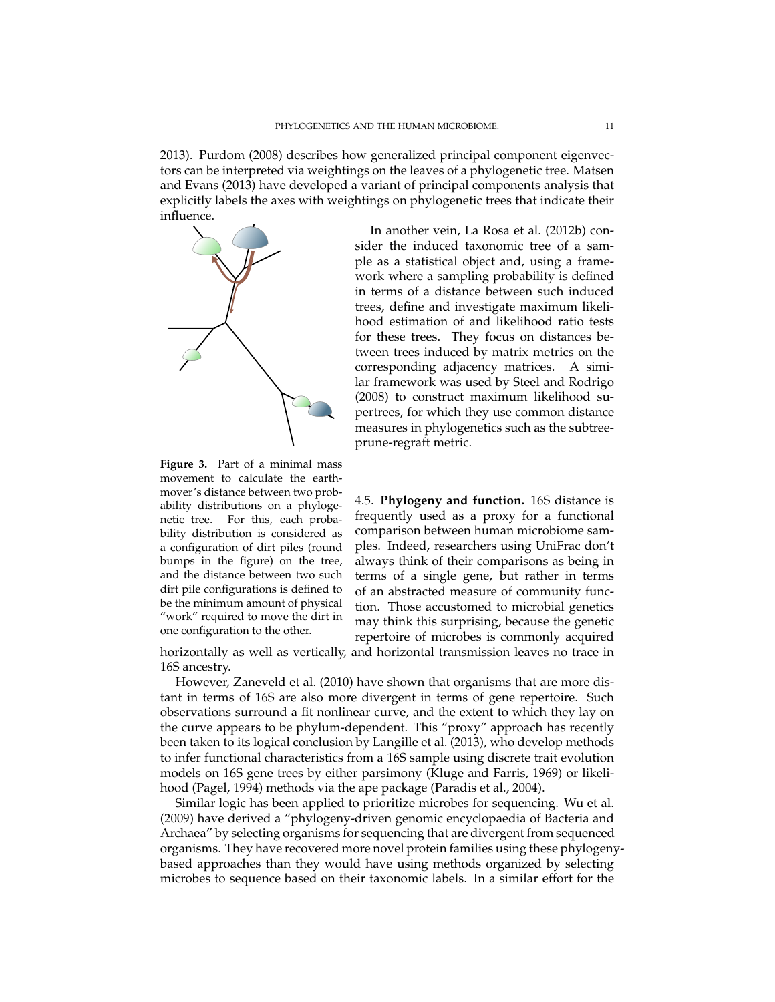[2013\)](#page-23-11). [Purdom](#page-27-8) [\(2008\)](#page-27-8) describes how generalized principal component eigenvectors can be interpreted via weightings on the leaves of a phylogenetic tree. [Matsen](#page-23-12) [and Evans](#page-23-12) [\(2013\)](#page-23-12) have developed a variant of principal components analysis that explicitly labels the axes with weightings on phylogenetic trees that indicate their influence.

<span id="page-10-0"></span>

**Figure 3.** Part of a minimal mass movement to calculate the earthmover's distance between two probability distributions on a phylogenetic tree. For this, each probability distribution is considered as a configuration of dirt piles (round bumps in the figure) on the tree, and the distance between two such dirt pile configurations is defined to be the minimum amount of physical "work" required to move the dirt in one configuration to the other.

In another vein, [La Rosa et al.](#page-22-11) [\(2012b\)](#page-22-11) consider the induced taxonomic tree of a sample as a statistical object and, using a framework where a sampling probability is defined in terms of a distance between such induced trees, define and investigate maximum likelihood estimation of and likelihood ratio tests for these trees. They focus on distances between trees induced by matrix metrics on the corresponding adjacency matrices. A similar framework was used by [Steel and Rodrigo](#page-29-11) [\(2008\)](#page-29-11) to construct maximum likelihood supertrees, for which they use common distance measures in phylogenetics such as the subtreeprune-regraft metric.

4.5. **Phylogeny and function.** 16S distance is frequently used as a proxy for a functional comparison between human microbiome samples. Indeed, researchers using UniFrac don't always think of their comparisons as being in terms of a single gene, but rather in terms of an abstracted measure of community function. Those accustomed to microbial genetics may think this surprising, because the genetic repertoire of microbes is commonly acquired

horizontally as well as vertically, and horizontal transmission leaves no trace in 16S ancestry.

However, [Zaneveld et al.](#page-30-7) [\(2010\)](#page-30-7) have shown that organisms that are more distant in terms of 16S are also more divergent in terms of gene repertoire. Such observations surround a fit nonlinear curve, and the extent to which they lay on the curve appears to be phylum-dependent. This "proxy" approach has recently been taken to its logical conclusion by [Langille et al.](#page-23-13) [\(2013\)](#page-23-13), who develop methods to infer functional characteristics from a 16S sample using discrete trait evolution models on 16S gene trees by either parsimony [\(Kluge and Farris, 1969\)](#page-22-12) or likelihood [\(Pagel, 1994\)](#page-26-7) methods via the ape package [\(Paradis et al., 2004\)](#page-26-8).

Similar logic has been applied to prioritize microbes for sequencing. [Wu et al.](#page-29-12) [\(2009\)](#page-29-12) have derived a "phylogeny-driven genomic encyclopaedia of Bacteria and Archaea" by selecting organisms for sequencing that are divergent from sequenced organisms. They have recovered more novel protein families using these phylogenybased approaches than they would have using methods organized by selecting microbes to sequence based on their taxonomic labels. In a similar effort for the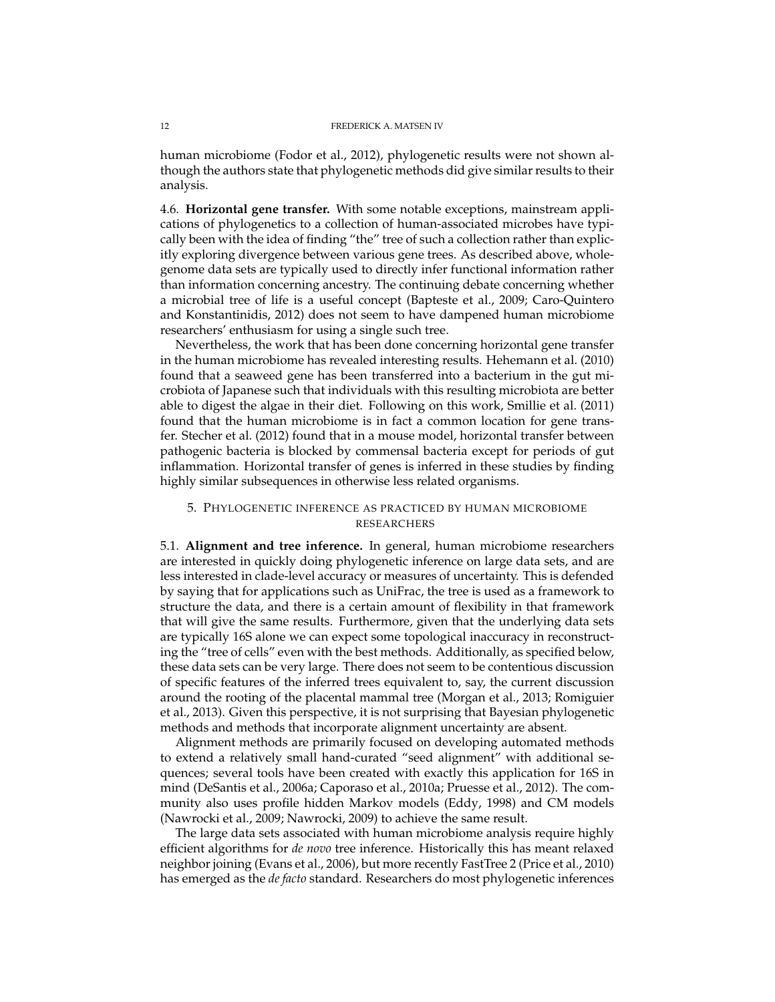human microbiome [\(Fodor et al., 2012\)](#page-20-12), phylogenetic results were not shown although the authors state that phylogenetic methods did give similar results to their analysis.

4.6. **Horizontal gene transfer.** With some notable exceptions, mainstream applications of phylogenetics to a collection of human-associated microbes have typically been with the idea of finding "the" tree of such a collection rather than explicitly exploring divergence between various gene trees. As described above, wholegenome data sets are typically used to directly infer functional information rather than information concerning ancestry. The continuing debate concerning whether a microbial tree of life is a useful concept [\(Bapteste et al., 2009;](#page-17-4) [Caro-Quintero](#page-18-5) [and Konstantinidis, 2012\)](#page-18-5) does not seem to have dampened human microbiome researchers' enthusiasm for using a single such tree.

Nevertheless, the work that has been done concerning horizontal gene transfer in the human microbiome has revealed interesting results. [Hehemann et al.](#page-21-14) [\(2010\)](#page-21-14) found that a seaweed gene has been transferred into a bacterium in the gut microbiota of Japanese such that individuals with this resulting microbiota are better able to digest the algae in their diet. Following on this work, [Smillie et al.](#page-28-8) [\(2011\)](#page-28-8) found that the human microbiome is in fact a common location for gene transfer. [Stecher et al.](#page-28-9) [\(2012\)](#page-28-9) found that in a mouse model, horizontal transfer between pathogenic bacteria is blocked by commensal bacteria except for periods of gut inflammation. Horizontal transfer of genes is inferred in these studies by finding highly similar subsequences in otherwise less related organisms.

# 5. PHYLOGENETIC INFERENCE AS PRACTICED BY HUMAN MICROBIOME RESEARCHERS

5.1. **Alignment and tree inference.** In general, human microbiome researchers are interested in quickly doing phylogenetic inference on large data sets, and are less interested in clade-level accuracy or measures of uncertainty. This is defended by saying that for applications such as UniFrac, the tree is used as a framework to structure the data, and there is a certain amount of flexibility in that framework that will give the same results. Furthermore, given that the underlying data sets are typically 16S alone we can expect some topological inaccuracy in reconstructing the "tree of cells" even with the best methods. Additionally, as specified below, these data sets can be very large. There does not seem to be contentious discussion of specific features of the inferred trees equivalent to, say, the current discussion around the rooting of the placental mammal tree [\(Morgan et al., 2013;](#page-25-8) [Romiguier](#page-27-9) [et al., 2013\)](#page-27-9). Given this perspective, it is not surprising that Bayesian phylogenetic methods and methods that incorporate alignment uncertainty are absent.

Alignment methods are primarily focused on developing automated methods to extend a relatively small hand-curated "seed alignment" with additional sequences; several tools have been created with exactly this application for 16S in mind [\(DeSantis et al., 2006a;](#page-19-11) [Caporaso et al., 2010a;](#page-18-9) [Pruesse et al., 2012\)](#page-27-10). The community also uses profile hidden Markov models [\(Eddy, 1998\)](#page-19-12) and CM models [\(Nawrocki et al., 2009;](#page-26-9) [Nawrocki, 2009\)](#page-26-10) to achieve the same result.

The large data sets associated with human microbiome analysis require highly efficient algorithms for *de novo* tree inference. Historically this has meant relaxed neighbor joining [\(Evans et al., 2006\)](#page-20-13), but more recently FastTree 2 [\(Price et al., 2010\)](#page-26-11) has emerged as the *de facto* standard. Researchers do most phylogenetic inferences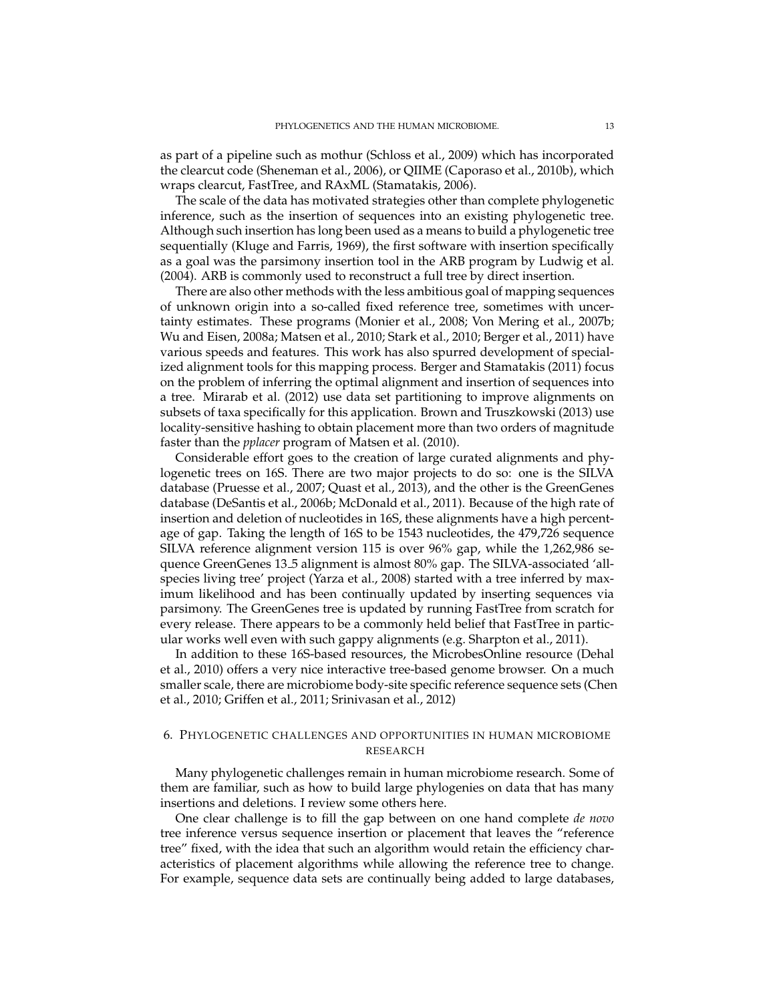as part of a pipeline such as mothur [\(Schloss et al., 2009\)](#page-28-10) which has incorporated the clearcut code [\(Sheneman et al., 2006\)](#page-28-11), or QIIME [\(Caporaso et al., 2010b\)](#page-18-10), which wraps clearcut, FastTree, and RAxML [\(Stamatakis, 2006\)](#page-28-12).

The scale of the data has motivated strategies other than complete phylogenetic inference, such as the insertion of sequences into an existing phylogenetic tree. Although such insertion has long been used as a means to build a phylogenetic tree sequentially [\(Kluge and Farris, 1969\)](#page-22-12), the first software with insertion specifically as a goal was the parsimony insertion tool in the ARB program by [Ludwig et al.](#page-23-14) [\(2004\)](#page-23-14). ARB is commonly used to reconstruct a full tree by direct insertion.

There are also other methods with the less ambitious goal of mapping sequences of unknown origin into a so-called fixed reference tree, sometimes with uncertainty estimates. These programs [\(Monier et al., 2008;](#page-25-9) [Von Mering et al., 2007b;](#page-29-13) [Wu and Eisen, 2008a;](#page-30-8) [Matsen et al., 2010;](#page-23-15) [Stark et al., 2010;](#page-28-1) [Berger et al., 2011\)](#page-17-11) have various speeds and features. This work has also spurred development of specialized alignment tools for this mapping process. [Berger and Stamatakis](#page-17-12) [\(2011\)](#page-17-12) focus on the problem of inferring the optimal alignment and insertion of sequences into a tree. [Mirarab et al.](#page-25-10) [\(2012\)](#page-25-10) use data set partitioning to improve alignments on subsets of taxa specifically for this application. [Brown and Truszkowski](#page-17-13) [\(2013\)](#page-17-13) use locality-sensitive hashing to obtain placement more than two orders of magnitude faster than the *pplacer* program of [Matsen et al.](#page-23-15) [\(2010\)](#page-23-15).

Considerable effort goes to the creation of large curated alignments and phylogenetic trees on 16S. There are two major projects to do so: one is the SILVA database [\(Pruesse et al., 2007;](#page-27-11) [Quast et al., 2013\)](#page-27-12), and the other is the GreenGenes database [\(DeSantis et al., 2006b;](#page-19-6) [McDonald et al., 2011\)](#page-24-3). Because of the high rate of insertion and deletion of nucleotides in 16S, these alignments have a high percentage of gap. Taking the length of 16S to be 1543 nucleotides, the 479,726 sequence SILVA reference alignment version 115 is over 96% gap, while the 1,262,986 sequence GreenGenes 13 5 alignment is almost 80% gap. The SILVA-associated 'allspecies living tree' project [\(Yarza et al., 2008\)](#page-30-9) started with a tree inferred by maximum likelihood and has been continually updated by inserting sequences via parsimony. The GreenGenes tree is updated by running FastTree from scratch for every release. There appears to be a commonly held belief that FastTree in particular works well even with such gappy alignments (e.g. [Sharpton et al., 2011\)](#page-28-5).

In addition to these 16S-based resources, the MicrobesOnline resource [\(Dehal](#page-19-13) [et al., 2010\)](#page-19-13) offers a very nice interactive tree-based genome browser. On a much smaller scale, there are microbiome body-site specific reference sequence sets [\(Chen](#page-18-11) [et al., 2010;](#page-18-11) [Griffen et al., 2011;](#page-20-14) [Srinivasan et al., 2012\)](#page-28-3)

# 6. PHYLOGENETIC CHALLENGES AND OPPORTUNITIES IN HUMAN MICROBIOME RESEARCH

Many phylogenetic challenges remain in human microbiome research. Some of them are familiar, such as how to build large phylogenies on data that has many insertions and deletions. I review some others here.

One clear challenge is to fill the gap between on one hand complete *de novo* tree inference versus sequence insertion or placement that leaves the "reference tree" fixed, with the idea that such an algorithm would retain the efficiency characteristics of placement algorithms while allowing the reference tree to change. For example, sequence data sets are continually being added to large databases,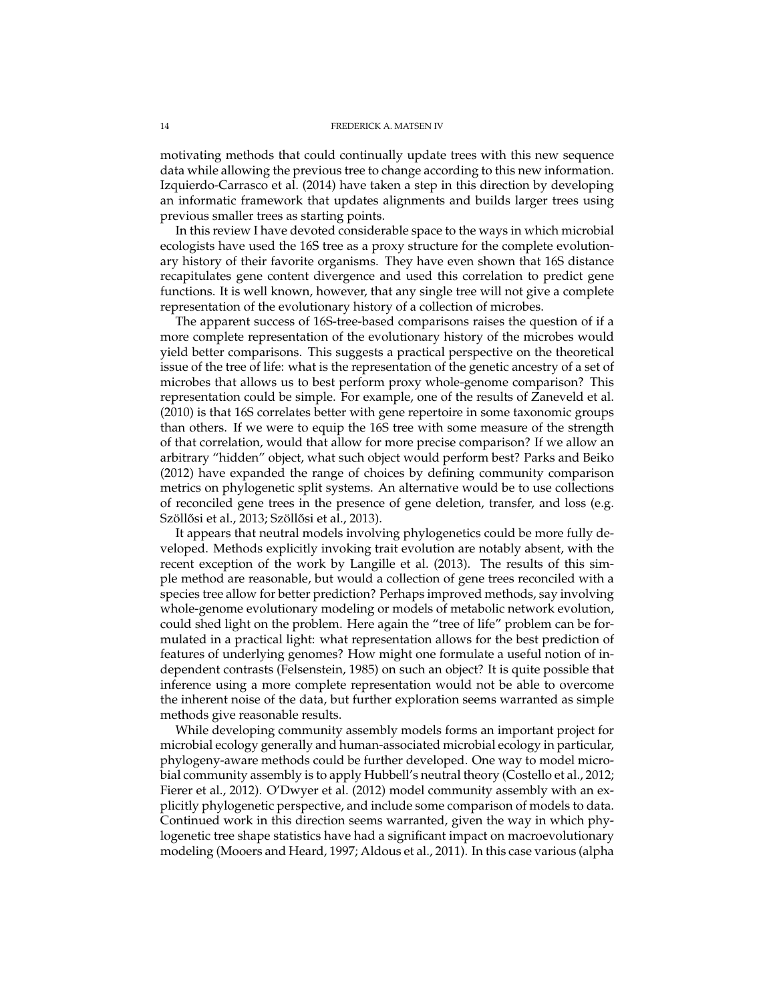motivating methods that could continually update trees with this new sequence data while allowing the previous tree to change according to this new information. [Izquierdo-Carrasco et al.](#page-21-15) [\(2014\)](#page-21-15) have taken a step in this direction by developing an informatic framework that updates alignments and builds larger trees using previous smaller trees as starting points.

In this review I have devoted considerable space to the ways in which microbial ecologists have used the 16S tree as a proxy structure for the complete evolutionary history of their favorite organisms. They have even shown that 16S distance recapitulates gene content divergence and used this correlation to predict gene functions. It is well known, however, that any single tree will not give a complete representation of the evolutionary history of a collection of microbes.

The apparent success of 16S-tree-based comparisons raises the question of if a more complete representation of the evolutionary history of the microbes would yield better comparisons. This suggests a practical perspective on the theoretical issue of the tree of life: what is the representation of the genetic ancestry of a set of microbes that allows us to best perform proxy whole-genome comparison? This representation could be simple. For example, one of the results of [Zaneveld et al.](#page-30-7) [\(2010\)](#page-30-7) is that 16S correlates better with gene repertoire in some taxonomic groups than others. If we were to equip the 16S tree with some measure of the strength of that correlation, would that allow for more precise comparison? If we allow an arbitrary "hidden" object, what such object would perform best? [Parks and Beiko](#page-26-12) [\(2012\)](#page-26-12) have expanded the range of choices by defining community comparison metrics on phylogenetic split systems. An alternative would be to use collections of reconciled gene trees in the presence of gene deletion, transfer, and loss (e.g. Szöllősi et al., 2013; Szöllősi et al., 2013).

It appears that neutral models involving phylogenetics could be more fully developed. Methods explicitly invoking trait evolution are notably absent, with the recent exception of the work by [Langille et al.](#page-23-13) [\(2013\)](#page-23-13). The results of this simple method are reasonable, but would a collection of gene trees reconciled with a species tree allow for better prediction? Perhaps improved methods, say involving whole-genome evolutionary modeling or models of metabolic network evolution, could shed light on the problem. Here again the "tree of life" problem can be formulated in a practical light: what representation allows for the best prediction of features of underlying genomes? How might one formulate a useful notion of independent contrasts [\(Felsenstein, 1985\)](#page-20-5) on such an object? It is quite possible that inference using a more complete representation would not be able to overcome the inherent noise of the data, but further exploration seems warranted as simple methods give reasonable results.

While developing community assembly models forms an important project for microbial ecology generally and human-associated microbial ecology in particular, phylogeny-aware methods could be further developed. One way to model microbial community assembly is to apply Hubbell's neutral theory [\(Costello et al., 2012;](#page-19-14) [Fierer et al., 2012\)](#page-20-15). [O'Dwyer et al.](#page-26-13) [\(2012\)](#page-26-13) model community assembly with an explicitly phylogenetic perspective, and include some comparison of models to data. Continued work in this direction seems warranted, given the way in which phylogenetic tree shape statistics have had a significant impact on macroevolutionary modeling [\(Mooers and Heard, 1997;](#page-25-11) [Aldous et al., 2011\)](#page-17-14). In this case various (alpha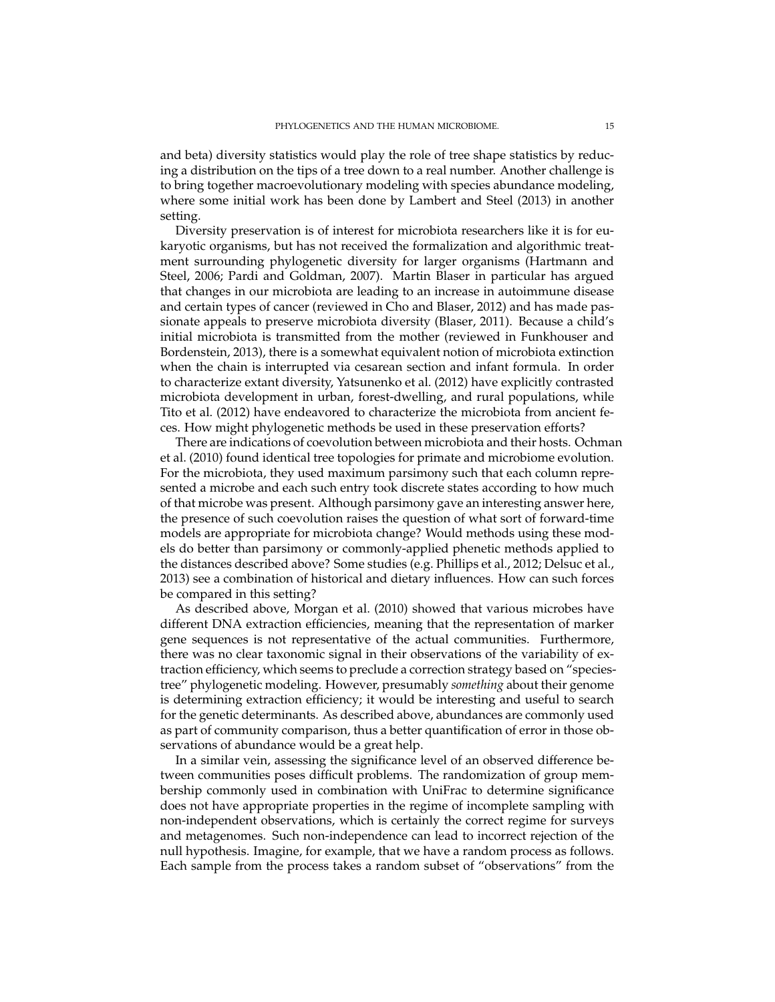and beta) diversity statistics would play the role of tree shape statistics by reducing a distribution on the tips of a tree down to a real number. Another challenge is to bring together macroevolutionary modeling with species abundance modeling, where some initial work has been done by [Lambert and Steel](#page-22-13) [\(2013\)](#page-22-13) in another setting.

Diversity preservation is of interest for microbiota researchers like it is for eukaryotic organisms, but has not received the formalization and algorithmic treatment surrounding phylogenetic diversity for larger organisms [\(Hartmann and](#page-21-16) [Steel, 2006;](#page-21-16) [Pardi and Goldman, 2007\)](#page-26-14). Martin Blaser in particular has argued that changes in our microbiota are leading to an increase in autoimmune disease and certain types of cancer (reviewed in [Cho and Blaser, 2012\)](#page-18-0) and has made passionate appeals to preserve microbiota diversity [\(Blaser, 2011\)](#page-17-15). Because a child's initial microbiota is transmitted from the mother (reviewed in [Funkhouser and](#page-20-0) [Bordenstein, 2013\)](#page-20-0), there is a somewhat equivalent notion of microbiota extinction when the chain is interrupted via cesarean section and infant formula. In order to characterize extant diversity, [Yatsunenko et al.](#page-30-6) [\(2012\)](#page-30-6) have explicitly contrasted microbiota development in urban, forest-dwelling, and rural populations, while [Tito et al.](#page-29-16) [\(2012\)](#page-29-16) have endeavored to characterize the microbiota from ancient feces. How might phylogenetic methods be used in these preservation efforts?

There are indications of coevolution between microbiota and their hosts. [Ochma](#page-26-15)n [et al.](#page-26-15) [\(2010\)](#page-26-15) found identical tree topologies for primate and microbiome evolution. For the microbiota, they used maximum parsimony such that each column represented a microbe and each such entry took discrete states according to how much of that microbe was present. Although parsimony gave an interesting answer here, the presence of such coevolution raises the question of what sort of forward-time models are appropriate for microbiota change? Would methods using these models do better than parsimony or commonly-applied phenetic methods applied to the distances described above? Some studies (e.g. [Phillips et al., 2012;](#page-26-16) [Delsuc et al.,](#page-19-15) [2013\)](#page-19-15) see a combination of historical and dietary influences. How can such forces be compared in this setting?

As described above, [Morgan et al.](#page-25-2) [\(2010\)](#page-25-2) showed that various microbes have different DNA extraction efficiencies, meaning that the representation of marker gene sequences is not representative of the actual communities. Furthermore, there was no clear taxonomic signal in their observations of the variability of extraction efficiency, which seems to preclude a correction strategy based on "speciestree" phylogenetic modeling. However, presumably *something* about their genome is determining extraction efficiency; it would be interesting and useful to search for the genetic determinants. As described above, abundances are commonly used as part of community comparison, thus a better quantification of error in those observations of abundance would be a great help.

In a similar vein, assessing the significance level of an observed difference between communities poses difficult problems. The randomization of group membership commonly used in combination with UniFrac to determine significance does not have appropriate properties in the regime of incomplete sampling with non-independent observations, which is certainly the correct regime for surveys and metagenomes. Such non-independence can lead to incorrect rejection of the null hypothesis. Imagine, for example, that we have a random process as follows. Each sample from the process takes a random subset of "observations" from the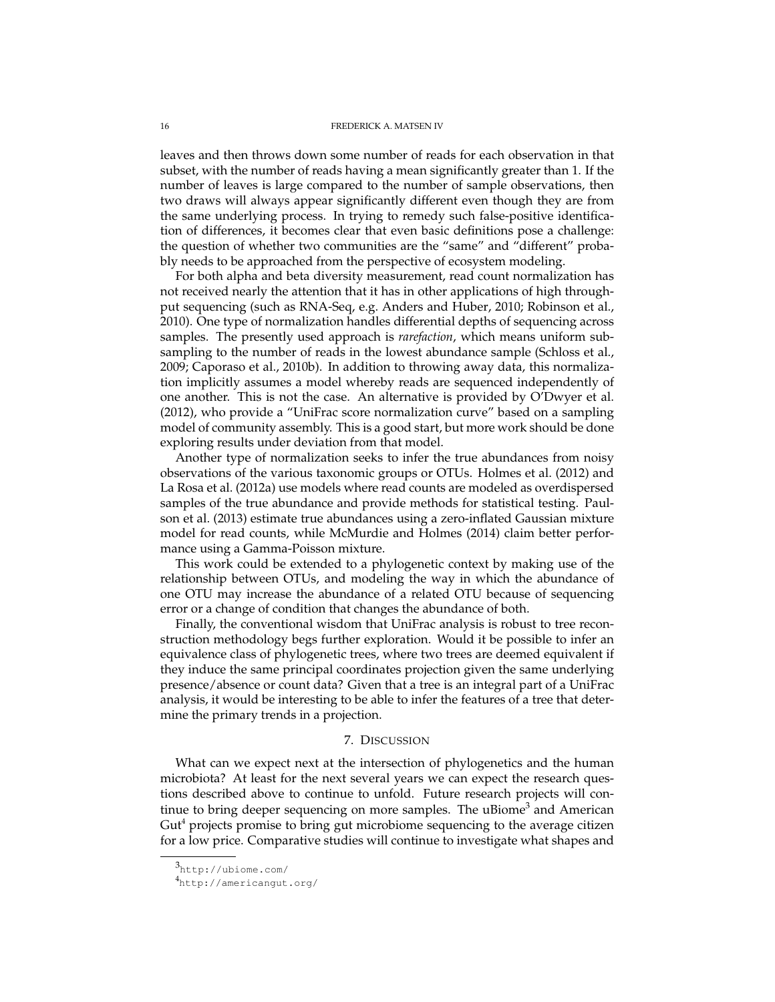### 16 FREDERICK A. MATSEN IV

leaves and then throws down some number of reads for each observation in that subset, with the number of reads having a mean significantly greater than 1. If the number of leaves is large compared to the number of sample observations, then two draws will always appear significantly different even though they are from the same underlying process. In trying to remedy such false-positive identification of differences, it becomes clear that even basic definitions pose a challenge: the question of whether two communities are the "same" and "different" probably needs to be approached from the perspective of ecosystem modeling.

For both alpha and beta diversity measurement, read count normalization has not received nearly the attention that it has in other applications of high throughput sequencing (such as RNA-Seq, e.g. [Anders and Huber, 2010;](#page-17-16) [Robinson et al.,](#page-27-13) [2010\)](#page-27-13). One type of normalization handles differential depths of sequencing across samples. The presently used approach is *rarefaction*, which means uniform subsampling to the number of reads in the lowest abundance sample [\(Schloss et al.,](#page-28-10) [2009;](#page-28-10) [Caporaso et al., 2010b\)](#page-18-10). In addition to throwing away data, this normalization implicitly assumes a model whereby reads are sequenced independently of one another. This is not the case. An alternative is provided by [O'Dwyer et al.](#page-26-13) [\(2012\)](#page-26-13), who provide a "UniFrac score normalization curve" based on a sampling model of community assembly. This is a good start, but more work should be done exploring results under deviation from that model.

Another type of normalization seeks to infer the true abundances from noisy observations of the various taxonomic groups or OTUs. [Holmes et al.](#page-21-17) [\(2012\)](#page-21-17) and [La Rosa et al.](#page-22-14) [\(2012a\)](#page-22-14) use models where read counts are modeled as overdispersed samples of the true abundance and provide methods for statistical testing. [Paul](#page-26-17)[son et al.](#page-26-17) [\(2013\)](#page-26-17) estimate true abundances using a zero-inflated Gaussian mixture model for read counts, while [McMurdie and Holmes](#page-24-7) [\(2014\)](#page-24-7) claim better performance using a Gamma-Poisson mixture.

This work could be extended to a phylogenetic context by making use of the relationship between OTUs, and modeling the way in which the abundance of one OTU may increase the abundance of a related OTU because of sequencing error or a change of condition that changes the abundance of both.

Finally, the conventional wisdom that UniFrac analysis is robust to tree reconstruction methodology begs further exploration. Would it be possible to infer an equivalence class of phylogenetic trees, where two trees are deemed equivalent if they induce the same principal coordinates projection given the same underlying presence/absence or count data? Given that a tree is an integral part of a UniFrac analysis, it would be interesting to be able to infer the features of a tree that determine the primary trends in a projection.

## 7. DISCUSSION

What can we expect next at the intersection of phylogenetics and the human microbiota? At least for the next several years we can expect the research questions described above to continue to unfold. Future research projects will con-tinue to bring deeper sequencing on more samples. The uBiome<sup>[3](#page-15-0)</sup> and American Gut<sup>[4](#page-15-1)</sup> projects promise to bring gut microbiome sequencing to the average citizen for a low price. Comparative studies will continue to investigate what shapes and

<span id="page-15-0"></span><sup>3</sup><http://ubiome.com/>

<span id="page-15-1"></span><sup>4</sup><http://americangut.org/>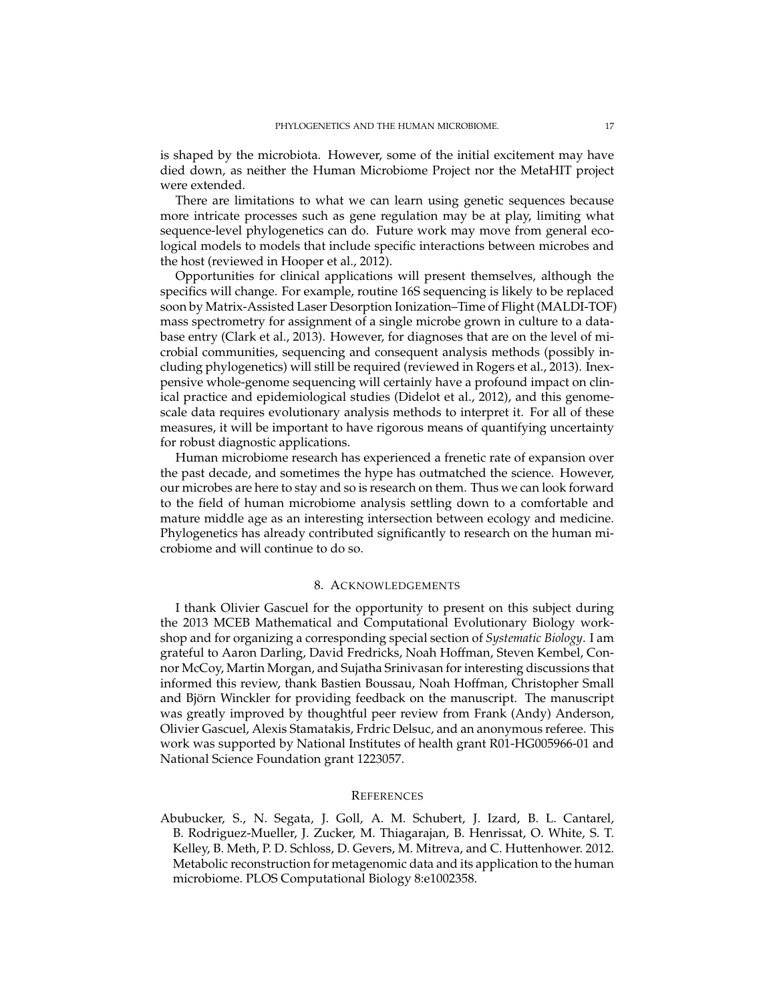is shaped by the microbiota. However, some of the initial excitement may have died down, as neither the Human Microbiome Project nor the MetaHIT project were extended.

There are limitations to what we can learn using genetic sequences because more intricate processes such as gene regulation may be at play, limiting what sequence-level phylogenetics can do. Future work may move from general ecological models to models that include specific interactions between microbes and the host (reviewed in [Hooper et al., 2012\)](#page-21-3).

Opportunities for clinical applications will present themselves, although the specifics will change. For example, routine 16S sequencing is likely to be replaced soon by Matrix-Assisted Laser Desorption Ionization–Time of Flight (MALDI-TOF) mass spectrometry for assignment of a single microbe grown in culture to a database entry [\(Clark et al., 2013\)](#page-18-12). However, for diagnoses that are on the level of microbial communities, sequencing and consequent analysis methods (possibly including phylogenetics) will still be required (reviewed in [Rogers et al., 2013\)](#page-27-14). Inexpensive whole-genome sequencing will certainly have a profound impact on clinical practice and epidemiological studies [\(Didelot et al., 2012\)](#page-19-16), and this genomescale data requires evolutionary analysis methods to interpret it. For all of these measures, it will be important to have rigorous means of quantifying uncertainty for robust diagnostic applications.

Human microbiome research has experienced a frenetic rate of expansion over the past decade, and sometimes the hype has outmatched the science. However, our microbes are here to stay and so is research on them. Thus we can look forward to the field of human microbiome analysis settling down to a comfortable and mature middle age as an interesting intersection between ecology and medicine. Phylogenetics has already contributed significantly to research on the human microbiome and will continue to do so.

# 8. ACKNOWLEDGEMENTS

I thank Olivier Gascuel for the opportunity to present on this subject during the 2013 MCEB Mathematical and Computational Evolutionary Biology workshop and for organizing a corresponding special section of *Systematic Biology*. I am grateful to Aaron Darling, David Fredricks, Noah Hoffman, Steven Kembel, Connor McCoy, Martin Morgan, and Sujatha Srinivasan for interesting discussions that informed this review, thank Bastien Boussau, Noah Hoffman, Christopher Small and Björn Winckler for providing feedback on the manuscript. The manuscript was greatly improved by thoughtful peer review from Frank (Andy) Anderson, Olivier Gascuel, Alexis Stamatakis, Frdric Delsuc, and an anonymous referee. This work was supported by National Institutes of health grant R01-HG005966-01 and National Science Foundation grant 1223057.

## **REFERENCES**

<span id="page-16-0"></span>Abubucker, S., N. Segata, J. Goll, A. M. Schubert, J. Izard, B. L. Cantarel, B. Rodriguez-Mueller, J. Zucker, M. Thiagarajan, B. Henrissat, O. White, S. T. Kelley, B. Meth, P. D. Schloss, D. Gevers, M. Mitreva, and C. Huttenhower. 2012. Metabolic reconstruction for metagenomic data and its application to the human microbiome. PLOS Computational Biology 8:e1002358.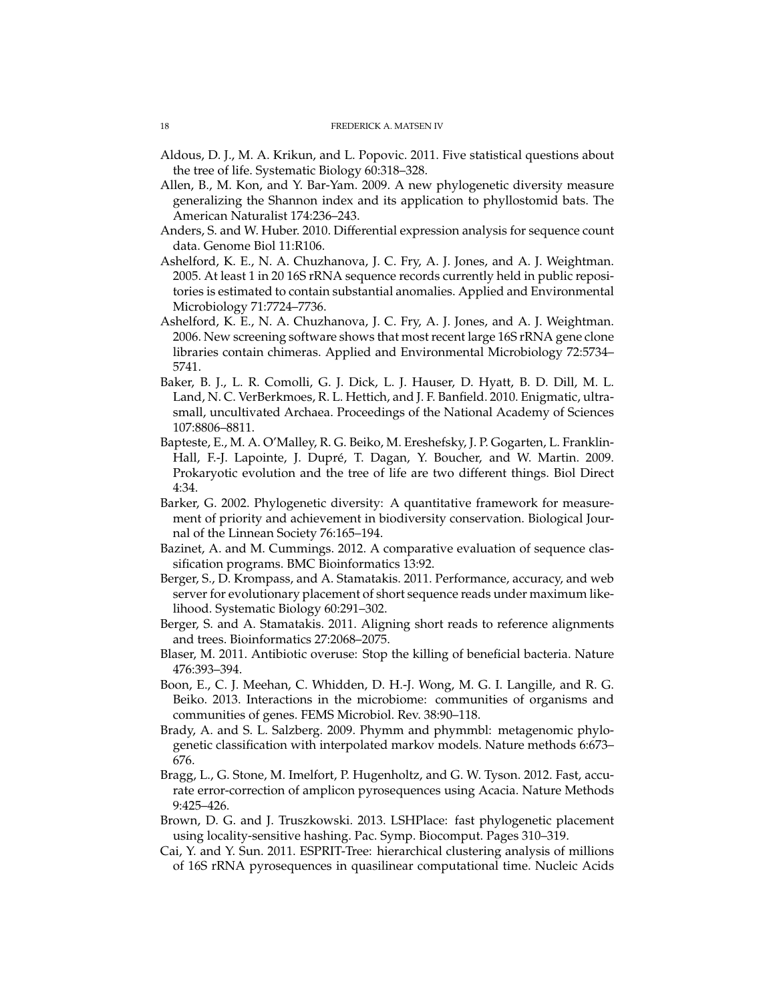- <span id="page-17-14"></span>Aldous, D. J., M. A. Krikun, and L. Popovic. 2011. Five statistical questions about the tree of life. Systematic Biology 60:318–328.
- <span id="page-17-10"></span>Allen, B., M. Kon, and Y. Bar-Yam. 2009. A new phylogenetic diversity measure generalizing the Shannon index and its application to phyllostomid bats. The American Naturalist 174:236–243.
- <span id="page-17-16"></span>Anders, S. and W. Huber. 2010. Differential expression analysis for sequence count data. Genome Biol 11:R106.
- <span id="page-17-1"></span>Ashelford, K. E., N. A. Chuzhanova, J. C. Fry, A. J. Jones, and A. J. Weightman. 2005. At least 1 in 20 16S rRNA sequence records currently held in public repositories is estimated to contain substantial anomalies. Applied and Environmental Microbiology 71:7724–7736.
- <span id="page-17-2"></span>Ashelford, K. E., N. A. Chuzhanova, J. C. Fry, A. J. Jones, and A. J. Weightman. 2006. New screening software shows that most recent large 16S rRNA gene clone libraries contain chimeras. Applied and Environmental Microbiology 72:5734– 5741.
- <span id="page-17-3"></span>Baker, B. J., L. R. Comolli, G. J. Dick, L. J. Hauser, D. Hyatt, B. D. Dill, M. L. Land, N. C. VerBerkmoes, R. L. Hettich, and J. F. Banfield. 2010. Enigmatic, ultrasmall, uncultivated Archaea. Proceedings of the National Academy of Sciences 107:8806–8811.
- <span id="page-17-4"></span>Bapteste, E., M. A. O'Malley, R. G. Beiko, M. Ereshefsky, J. P. Gogarten, L. Franklin-Hall, F.-J. Lapointe, J. Dupré, T. Dagan, Y. Boucher, and W. Martin. 2009. Prokaryotic evolution and the tree of life are two different things. Biol Direct 4:34.
- <span id="page-17-9"></span>Barker, G. 2002. Phylogenetic diversity: A quantitative framework for measurement of priority and achievement in biodiversity conservation. Biological Journal of the Linnean Society 76:165–194.
- <span id="page-17-5"></span>Bazinet, A. and M. Cummings. 2012. A comparative evaluation of sequence classification programs. BMC Bioinformatics 13:92.
- <span id="page-17-11"></span>Berger, S., D. Krompass, and A. Stamatakis. 2011. Performance, accuracy, and web server for evolutionary placement of short sequence reads under maximum likelihood. Systematic Biology 60:291–302.
- <span id="page-17-12"></span>Berger, S. and A. Stamatakis. 2011. Aligning short reads to reference alignments and trees. Bioinformatics 27:2068–2075.
- <span id="page-17-15"></span>Blaser, M. 2011. Antibiotic overuse: Stop the killing of beneficial bacteria. Nature 476:393–394.
- <span id="page-17-0"></span>Boon, E., C. J. Meehan, C. Whidden, D. H.-J. Wong, M. G. I. Langille, and R. G. Beiko. 2013. Interactions in the microbiome: communities of organisms and communities of genes. FEMS Microbiol. Rev. 38:90–118.
- <span id="page-17-6"></span>Brady, A. and S. L. Salzberg. 2009. Phymm and phymmbl: metagenomic phylogenetic classification with interpolated markov models. Nature methods 6:673– 676.
- <span id="page-17-8"></span>Bragg, L., G. Stone, M. Imelfort, P. Hugenholtz, and G. W. Tyson. 2012. Fast, accurate error-correction of amplicon pyrosequences using Acacia. Nature Methods 9:425–426.
- <span id="page-17-13"></span>Brown, D. G. and J. Truszkowski. 2013. LSHPlace: fast phylogenetic placement using locality-sensitive hashing. Pac. Symp. Biocomput. Pages 310–319.
- <span id="page-17-7"></span>Cai, Y. and Y. Sun. 2011. ESPRIT-Tree: hierarchical clustering analysis of millions of 16S rRNA pyrosequences in quasilinear computational time. Nucleic Acids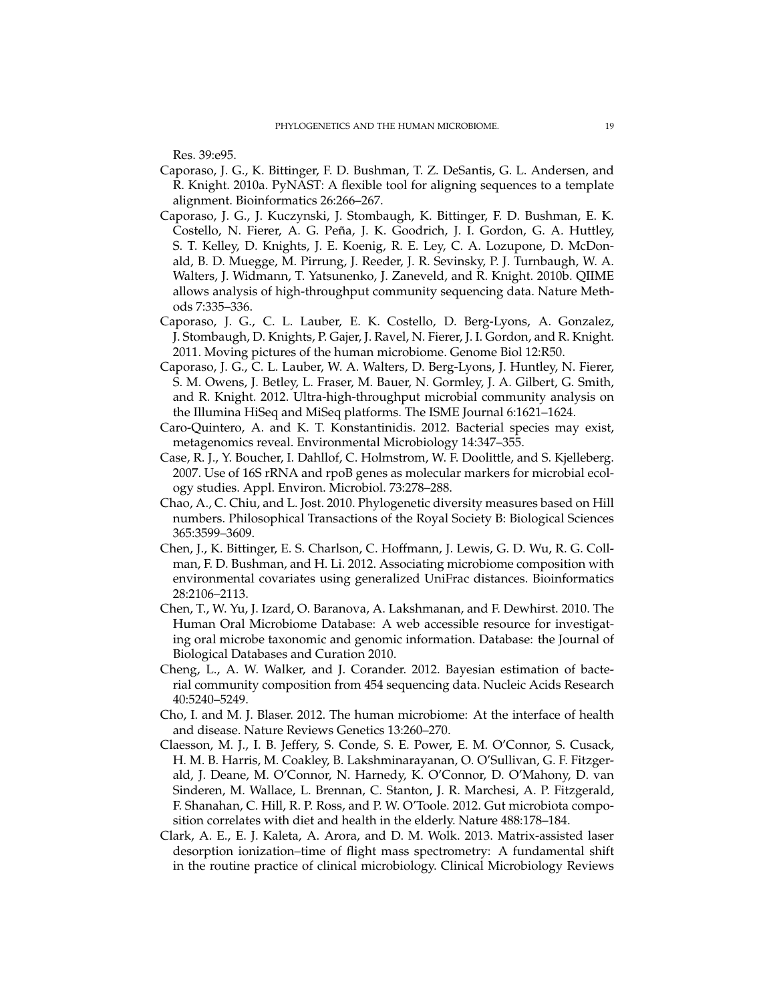Res. 39:e95.

- <span id="page-18-9"></span>Caporaso, J. G., K. Bittinger, F. D. Bushman, T. Z. DeSantis, G. L. Andersen, and R. Knight. 2010a. PyNAST: A flexible tool for aligning sequences to a template alignment. Bioinformatics 26:266–267.
- <span id="page-18-10"></span>Caporaso, J. G., J. Kuczynski, J. Stombaugh, K. Bittinger, F. D. Bushman, E. K. Costello, N. Fierer, A. G. Peña, J. K. Goodrich, J. I. Gordon, G. A. Huttley, S. T. Kelley, D. Knights, J. E. Koenig, R. E. Ley, C. A. Lozupone, D. McDonald, B. D. Muegge, M. Pirrung, J. Reeder, J. R. Sevinsky, P. J. Turnbaugh, W. A. Walters, J. Widmann, T. Yatsunenko, J. Zaneveld, and R. Knight. 2010b. QIIME allows analysis of high-throughput community sequencing data. Nature Methods 7:335–336.
- <span id="page-18-3"></span>Caporaso, J. G., C. L. Lauber, E. K. Costello, D. Berg-Lyons, A. Gonzalez, J. Stombaugh, D. Knights, P. Gajer, J. Ravel, N. Fierer, J. I. Gordon, and R. Knight. 2011. Moving pictures of the human microbiome. Genome Biol 12:R50.
- <span id="page-18-2"></span>Caporaso, J. G., C. L. Lauber, W. A. Walters, D. Berg-Lyons, J. Huntley, N. Fierer, S. M. Owens, J. Betley, L. Fraser, M. Bauer, N. Gormley, J. A. Gilbert, G. Smith, and R. Knight. 2012. Ultra-high-throughput microbial community analysis on the Illumina HiSeq and MiSeq platforms. The ISME Journal 6:1621–1624.
- <span id="page-18-5"></span>Caro-Quintero, A. and K. T. Konstantinidis. 2012. Bacterial species may exist, metagenomics reveal. Environmental Microbiology 14:347–355.
- <span id="page-18-4"></span>Case, R. J., Y. Boucher, I. Dahllof, C. Holmstrom, W. F. Doolittle, and S. Kjelleberg. 2007. Use of 16S rRNA and rpoB genes as molecular markers for microbial ecology studies. Appl. Environ. Microbiol. 73:278–288.
- <span id="page-18-7"></span>Chao, A., C. Chiu, and L. Jost. 2010. Phylogenetic diversity measures based on Hill numbers. Philosophical Transactions of the Royal Society B: Biological Sciences 365:3599–3609.
- <span id="page-18-8"></span>Chen, J., K. Bittinger, E. S. Charlson, C. Hoffmann, J. Lewis, G. D. Wu, R. G. Collman, F. D. Bushman, and H. Li. 2012. Associating microbiome composition with environmental covariates using generalized UniFrac distances. Bioinformatics 28:2106–2113.
- <span id="page-18-11"></span>Chen, T., W. Yu, J. Izard, O. Baranova, A. Lakshmanan, and F. Dewhirst. 2010. The Human Oral Microbiome Database: A web accessible resource for investigating oral microbe taxonomic and genomic information. Database: the Journal of Biological Databases and Curation 2010.
- <span id="page-18-6"></span>Cheng, L., A. W. Walker, and J. Corander. 2012. Bayesian estimation of bacterial community composition from 454 sequencing data. Nucleic Acids Research 40:5240–5249.
- <span id="page-18-0"></span>Cho, I. and M. J. Blaser. 2012. The human microbiome: At the interface of health and disease. Nature Reviews Genetics 13:260–270.
- <span id="page-18-1"></span>Claesson, M. J., I. B. Jeffery, S. Conde, S. E. Power, E. M. O'Connor, S. Cusack, H. M. B. Harris, M. Coakley, B. Lakshminarayanan, O. O'Sullivan, G. F. Fitzgerald, J. Deane, M. O'Connor, N. Harnedy, K. O'Connor, D. O'Mahony, D. van Sinderen, M. Wallace, L. Brennan, C. Stanton, J. R. Marchesi, A. P. Fitzgerald, F. Shanahan, C. Hill, R. P. Ross, and P. W. O'Toole. 2012. Gut microbiota composition correlates with diet and health in the elderly. Nature 488:178–184.
- <span id="page-18-12"></span>Clark, A. E., E. J. Kaleta, A. Arora, and D. M. Wolk. 2013. Matrix-assisted laser desorption ionization–time of flight mass spectrometry: A fundamental shift in the routine practice of clinical microbiology. Clinical Microbiology Reviews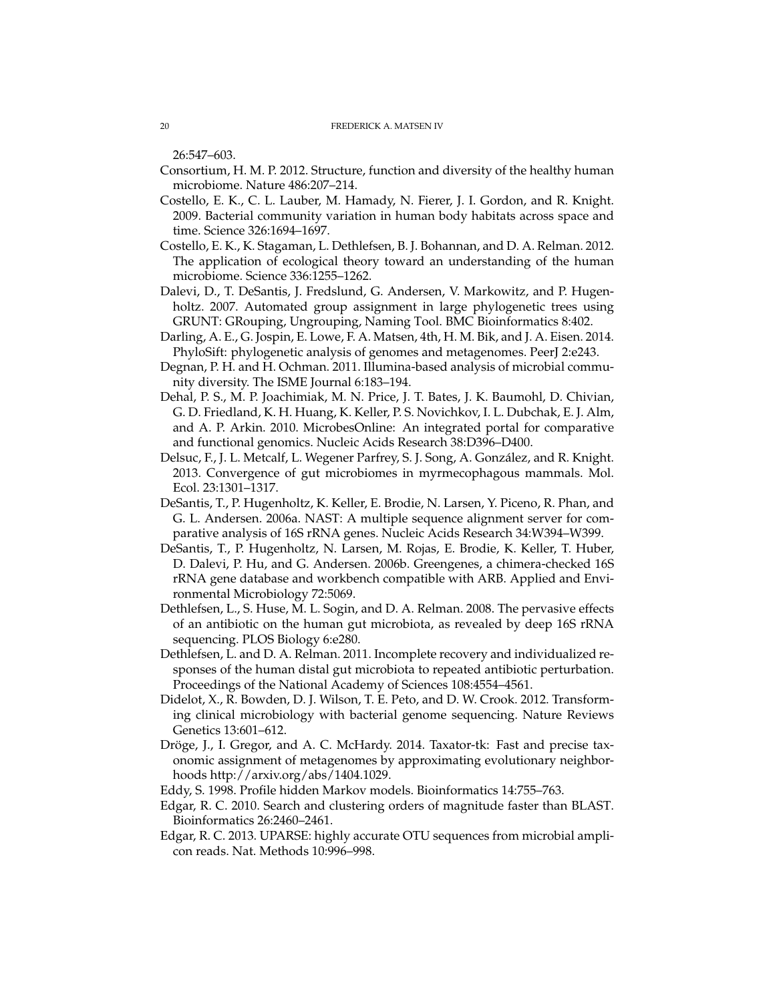26:547–603.

- <span id="page-19-0"></span>Consortium, H. M. P. 2012. Structure, function and diversity of the healthy human microbiome. Nature 486:207–214.
- <span id="page-19-1"></span>Costello, E. K., C. L. Lauber, M. Hamady, N. Fierer, J. I. Gordon, and R. Knight. 2009. Bacterial community variation in human body habitats across space and time. Science 326:1694–1697.
- <span id="page-19-14"></span>Costello, E. K., K. Stagaman, L. Dethlefsen, B. J. Bohannan, and D. A. Relman. 2012. The application of ecological theory toward an understanding of the human microbiome. Science 336:1255–1262.
- <span id="page-19-7"></span>Dalevi, D., T. DeSantis, J. Fredslund, G. Andersen, V. Markowitz, and P. Hugenholtz. 2007. Automated group assignment in large phylogenetic trees using GRUNT: GRouping, Ungrouping, Naming Tool. BMC Bioinformatics 8:402.
- <span id="page-19-5"></span>Darling, A. E., G. Jospin, E. Lowe, F. A. Matsen, 4th, H. M. Bik, and J. A. Eisen. 2014. PhyloSift: phylogenetic analysis of genomes and metagenomes. PeerJ 2:e243.
- <span id="page-19-4"></span>Degnan, P. H. and H. Ochman. 2011. Illumina-based analysis of microbial community diversity. The ISME Journal 6:183–194.
- <span id="page-19-13"></span>Dehal, P. S., M. P. Joachimiak, M. N. Price, J. T. Bates, J. K. Baumohl, D. Chivian, G. D. Friedland, K. H. Huang, K. Keller, P. S. Novichkov, I. L. Dubchak, E. J. Alm, and A. P. Arkin. 2010. MicrobesOnline: An integrated portal for comparative and functional genomics. Nucleic Acids Research 38:D396–D400.
- <span id="page-19-15"></span>Delsuc, F., J. L. Metcalf, L. Wegener Parfrey, S. J. Song, A. González, and R. Knight. 2013. Convergence of gut microbiomes in myrmecophagous mammals. Mol. Ecol. 23:1301–1317.
- <span id="page-19-11"></span>DeSantis, T., P. Hugenholtz, K. Keller, E. Brodie, N. Larsen, Y. Piceno, R. Phan, and G. L. Andersen. 2006a. NAST: A multiple sequence alignment server for comparative analysis of 16S rRNA genes. Nucleic Acids Research 34:W394–W399.
- <span id="page-19-6"></span>DeSantis, T., P. Hugenholtz, N. Larsen, M. Rojas, E. Brodie, K. Keller, T. Huber, D. Dalevi, P. Hu, and G. Andersen. 2006b. Greengenes, a chimera-checked 16S rRNA gene database and workbench compatible with ARB. Applied and Environmental Microbiology 72:5069.
- <span id="page-19-2"></span>Dethlefsen, L., S. Huse, M. L. Sogin, and D. A. Relman. 2008. The pervasive effects of an antibiotic on the human gut microbiota, as revealed by deep 16S rRNA sequencing. PLOS Biology 6:e280.
- <span id="page-19-3"></span>Dethlefsen, L. and D. A. Relman. 2011. Incomplete recovery and individualized responses of the human distal gut microbiota to repeated antibiotic perturbation. Proceedings of the National Academy of Sciences 108:4554–4561.
- <span id="page-19-16"></span>Didelot, X., R. Bowden, D. J. Wilson, T. E. Peto, and D. W. Crook. 2012. Transforming clinical microbiology with bacterial genome sequencing. Nature Reviews Genetics 13:601–612.
- <span id="page-19-8"></span>Dröge, J., I. Gregor, and A. C. McHardy. 2014. Taxator-tk: Fast and precise taxonomic assignment of metagenomes by approximating evolutionary neighborhoods http://arxiv.org/abs/1404.1029.
- <span id="page-19-12"></span>Eddy, S. 1998. Profile hidden Markov models. Bioinformatics 14:755–763.
- <span id="page-19-10"></span>Edgar, R. C. 2010. Search and clustering orders of magnitude faster than BLAST. Bioinformatics 26:2460–2461.
- <span id="page-19-9"></span>Edgar, R. C. 2013. UPARSE: highly accurate OTU sequences from microbial amplicon reads. Nat. Methods 10:996–998.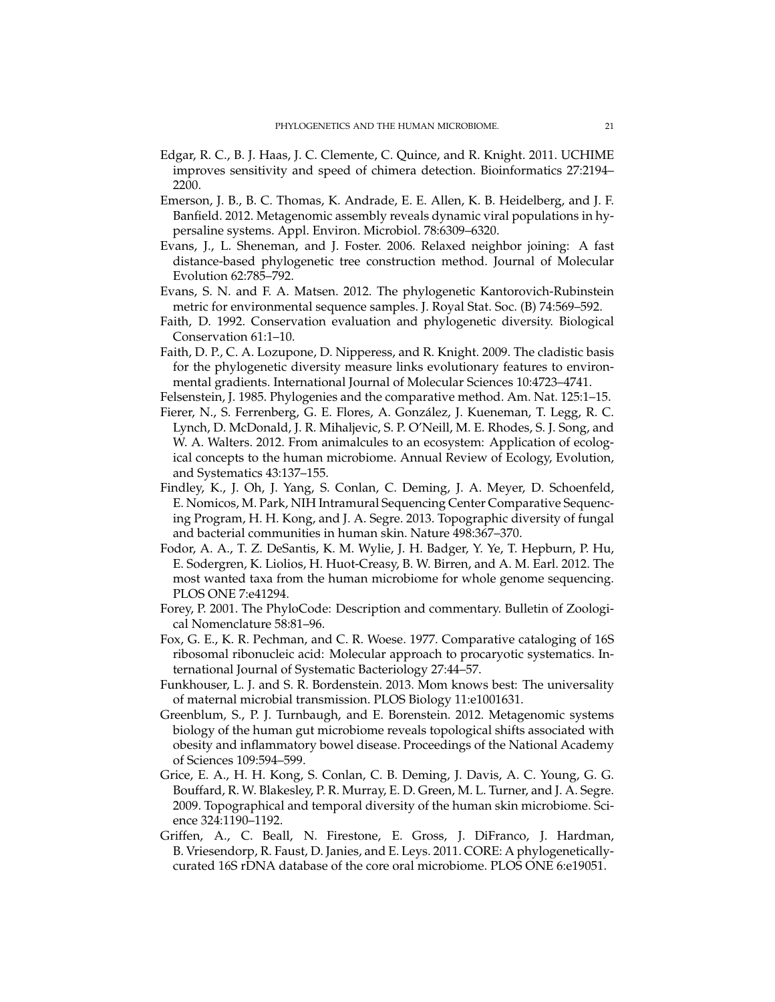- <span id="page-20-4"></span>Edgar, R. C., B. J. Haas, J. C. Clemente, C. Quince, and R. Knight. 2011. UCHIME improves sensitivity and speed of chimera detection. Bioinformatics 27:2194– 2200.
- <span id="page-20-7"></span>Emerson, J. B., B. C. Thomas, K. Andrade, E. E. Allen, K. B. Heidelberg, and J. F. Banfield. 2012. Metagenomic assembly reveals dynamic viral populations in hypersaline systems. Appl. Environ. Microbiol. 78:6309–6320.
- <span id="page-20-13"></span>Evans, J., L. Sheneman, and J. Foster. 2006. Relaxed neighbor joining: A fast distance-based phylogenetic tree construction method. Journal of Molecular Evolution 62:785–792.
- <span id="page-20-10"></span>Evans, S. N. and F. A. Matsen. 2012. The phylogenetic Kantorovich-Rubinstein metric for environmental sequence samples. J. Royal Stat. Soc. (B) 74:569–592.
- <span id="page-20-9"></span>Faith, D. 1992. Conservation evaluation and phylogenetic diversity. Biological Conservation 61:1–10.
- <span id="page-20-11"></span>Faith, D. P., C. A. Lozupone, D. Nipperess, and R. Knight. 2009. The cladistic basis for the phylogenetic diversity measure links evolutionary features to environmental gradients. International Journal of Molecular Sciences 10:4723–4741.
- <span id="page-20-5"></span>Felsenstein, J. 1985. Phylogenies and the comparative method. Am. Nat. 125:1–15.
- <span id="page-20-15"></span>Fierer, N., S. Ferrenberg, G. E. Flores, A. Gonzalez, J. Kueneman, T. Legg, R. C. ´ Lynch, D. McDonald, J. R. Mihaljevic, S. P. O'Neill, M. E. Rhodes, S. J. Song, and W. A. Walters. 2012. From animalcules to an ecosystem: Application of ecological concepts to the human microbiome. Annual Review of Ecology, Evolution, and Systematics 43:137–155.
- <span id="page-20-2"></span>Findley, K., J. Oh, J. Yang, S. Conlan, C. Deming, J. A. Meyer, D. Schoenfeld, E. Nomicos, M. Park, NIH Intramural Sequencing Center Comparative Sequencing Program, H. H. Kong, and J. A. Segre. 2013. Topographic diversity of fungal and bacterial communities in human skin. Nature 498:367–370.
- <span id="page-20-12"></span>Fodor, A. A., T. Z. DeSantis, K. M. Wylie, J. H. Badger, Y. Ye, T. Hepburn, P. Hu, E. Sodergren, K. Liolios, H. Huot-Creasy, B. W. Birren, and A. M. Earl. 2012. The most wanted taxa from the human microbiome for whole genome sequencing. PLOS ONE 7:e41294.
- <span id="page-20-8"></span>Forey, P. 2001. The PhyloCode: Description and commentary. Bulletin of Zoological Nomenclature 58:81–96.
- <span id="page-20-3"></span>Fox, G. E., K. R. Pechman, and C. R. Woese. 1977. Comparative cataloging of 16S ribosomal ribonucleic acid: Molecular approach to procaryotic systematics. International Journal of Systematic Bacteriology 27:44–57.
- <span id="page-20-0"></span>Funkhouser, L. J. and S. R. Bordenstein. 2013. Mom knows best: The universality of maternal microbial transmission. PLOS Biology 11:e1001631.
- <span id="page-20-6"></span>Greenblum, S., P. J. Turnbaugh, and E. Borenstein. 2012. Metagenomic systems biology of the human gut microbiome reveals topological shifts associated with obesity and inflammatory bowel disease. Proceedings of the National Academy of Sciences 109:594–599.
- <span id="page-20-1"></span>Grice, E. A., H. H. Kong, S. Conlan, C. B. Deming, J. Davis, A. C. Young, G. G. Bouffard, R. W. Blakesley, P. R. Murray, E. D. Green, M. L. Turner, and J. A. Segre. 2009. Topographical and temporal diversity of the human skin microbiome. Science 324:1190–1192.
- <span id="page-20-14"></span>Griffen, A., C. Beall, N. Firestone, E. Gross, J. DiFranco, J. Hardman, B. Vriesendorp, R. Faust, D. Janies, and E. Leys. 2011. CORE: A phylogeneticallycurated 16S rDNA database of the core oral microbiome. PLOS ONE 6:e19051.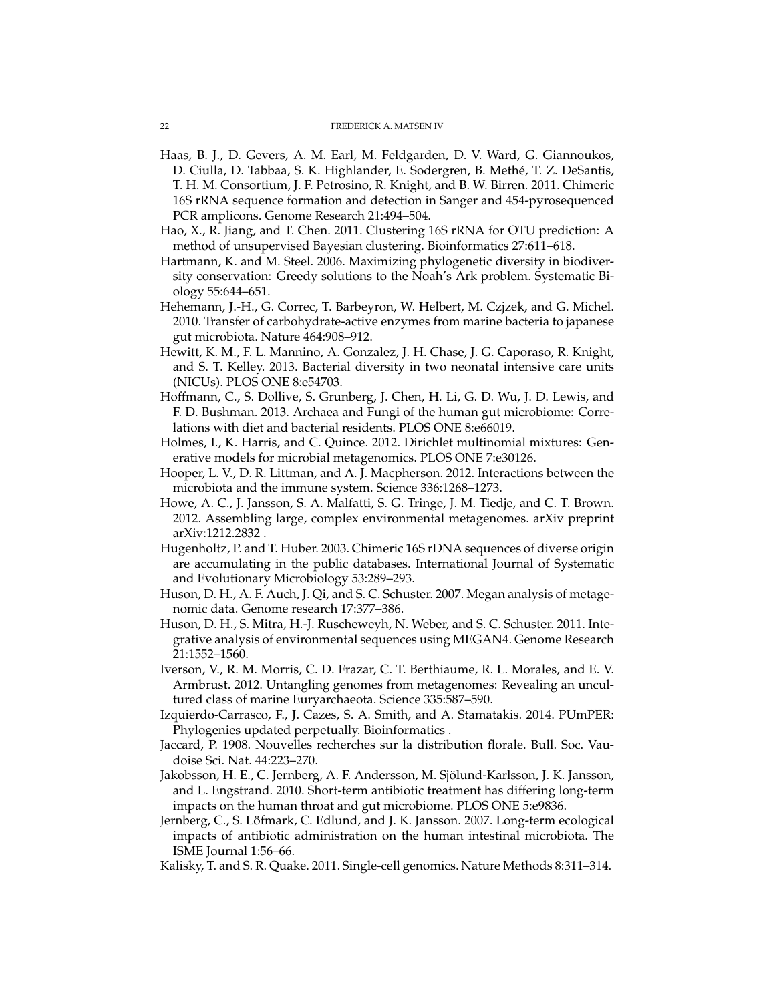- <span id="page-21-5"></span>Haas, B. J., D. Gevers, A. M. Earl, M. Feldgarden, D. V. Ward, G. Giannoukos, D. Ciulla, D. Tabbaa, S. K. Highlander, E. Sodergren, B. Methe, T. Z. DeSantis, ´ T. H. M. Consortium, J. F. Petrosino, R. Knight, and B. W. Birren. 2011. Chimeric 16S rRNA sequence formation and detection in Sanger and 454-pyrosequenced PCR amplicons. Genome Research 21:494–504.
- <span id="page-21-11"></span>Hao, X., R. Jiang, and T. Chen. 2011. Clustering 16S rRNA for OTU prediction: A method of unsupervised Bayesian clustering. Bioinformatics 27:611–618.
- <span id="page-21-16"></span>Hartmann, K. and M. Steel. 2006. Maximizing phylogenetic diversity in biodiversity conservation: Greedy solutions to the Noah's Ark problem. Systematic Biology 55:644–651.
- <span id="page-21-14"></span>Hehemann, J.-H., G. Correc, T. Barbeyron, W. Helbert, M. Czjzek, and G. Michel. 2010. Transfer of carbohydrate-active enzymes from marine bacteria to japanese gut microbiota. Nature 464:908–912.
- <span id="page-21-13"></span>Hewitt, K. M., F. L. Mannino, A. Gonzalez, J. H. Chase, J. G. Caporaso, R. Knight, and S. T. Kelley. 2013. Bacterial diversity in two neonatal intensive care units (NICUs). PLOS ONE 8:e54703.
- <span id="page-21-2"></span>Hoffmann, C., S. Dollive, S. Grunberg, J. Chen, H. Li, G. D. Wu, J. D. Lewis, and F. D. Bushman. 2013. Archaea and Fungi of the human gut microbiome: Correlations with diet and bacterial residents. PLOS ONE 8:e66019.
- <span id="page-21-17"></span>Holmes, I., K. Harris, and C. Quince. 2012. Dirichlet multinomial mixtures: Generative models for microbial metagenomics. PLOS ONE 7:e30126.
- <span id="page-21-3"></span>Hooper, L. V., D. R. Littman, and A. J. Macpherson. 2012. Interactions between the microbiota and the immune system. Science 336:1268–1273.
- <span id="page-21-7"></span>Howe, A. C., J. Jansson, S. A. Malfatti, S. G. Tringe, J. M. Tiedje, and C. T. Brown. 2012. Assembling large, complex environmental metagenomes. arXiv preprint arXiv:1212.2832 .
- <span id="page-21-4"></span>Hugenholtz, P. and T. Huber. 2003. Chimeric 16S rDNA sequences of diverse origin are accumulating in the public databases. International Journal of Systematic and Evolutionary Microbiology 53:289–293.
- <span id="page-21-9"></span>Huson, D. H., A. F. Auch, J. Qi, and S. C. Schuster. 2007. Megan analysis of metagenomic data. Genome research 17:377–386.
- <span id="page-21-10"></span>Huson, D. H., S. Mitra, H.-J. Ruscheweyh, N. Weber, and S. C. Schuster. 2011. Integrative analysis of environmental sequences using MEGAN4. Genome Research 21:1552–1560.
- <span id="page-21-8"></span>Iverson, V., R. M. Morris, C. D. Frazar, C. T. Berthiaume, R. L. Morales, and E. V. Armbrust. 2012. Untangling genomes from metagenomes: Revealing an uncultured class of marine Euryarchaeota. Science 335:587–590.
- <span id="page-21-15"></span>Izquierdo-Carrasco, F., J. Cazes, S. A. Smith, and A. Stamatakis. 2014. PUmPER: Phylogenies updated perpetually. Bioinformatics .
- <span id="page-21-12"></span>Jaccard, P. 1908. Nouvelles recherches sur la distribution florale. Bull. Soc. Vaudoise Sci. Nat. 44:223–270.
- <span id="page-21-1"></span>Jakobsson, H. E., C. Jernberg, A. F. Andersson, M. Sjolund-Karlsson, J. K. Jansson, ¨ and L. Engstrand. 2010. Short-term antibiotic treatment has differing long-term impacts on the human throat and gut microbiome. PLOS ONE 5:e9836.
- <span id="page-21-0"></span>Jernberg, C., S. Löfmark, C. Edlund, and J. K. Jansson. 2007. Long-term ecological impacts of antibiotic administration on the human intestinal microbiota. The ISME Journal 1:56–66.
- <span id="page-21-6"></span>Kalisky, T. and S. R. Quake. 2011. Single-cell genomics. Nature Methods 8:311–314.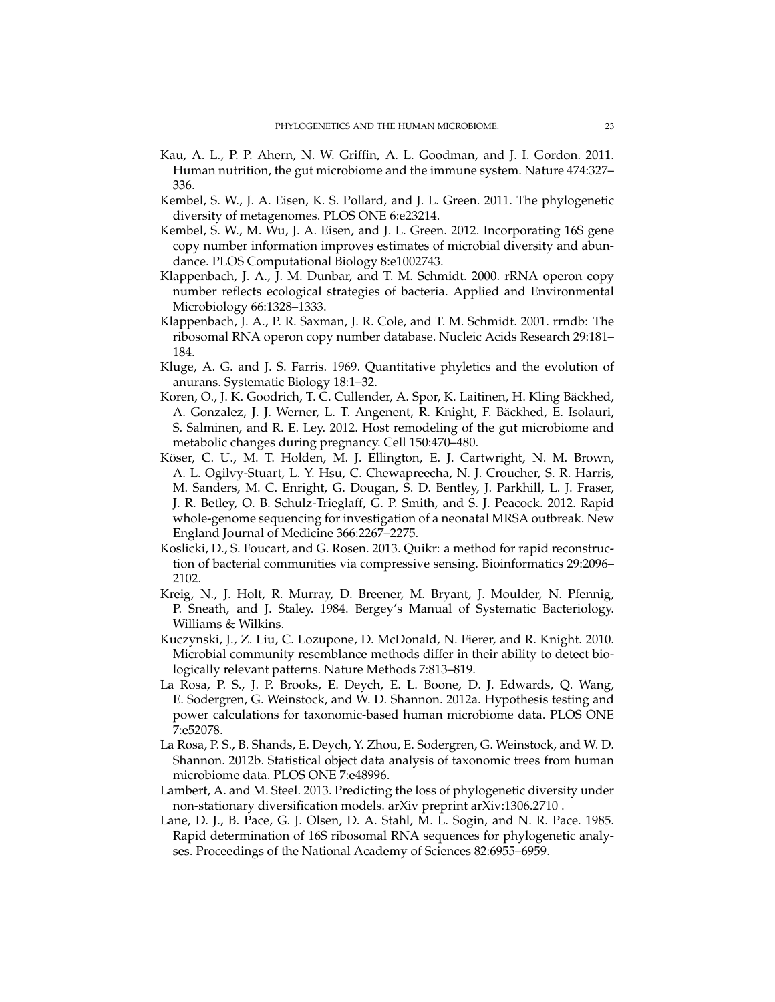- <span id="page-22-0"></span>Kau, A. L., P. P. Ahern, N. W. Griffin, A. L. Goodman, and J. I. Gordon. 2011. Human nutrition, the gut microbiome and the immune system. Nature 474:327– 336.
- <span id="page-22-7"></span>Kembel, S. W., J. A. Eisen, K. S. Pollard, and J. L. Green. 2011. The phylogenetic diversity of metagenomes. PLOS ONE 6:e23214.
- <span id="page-22-5"></span>Kembel, S. W., M. Wu, J. A. Eisen, and J. L. Green. 2012. Incorporating 16S gene copy number information improves estimates of microbial diversity and abundance. PLOS Computational Biology 8:e1002743.
- <span id="page-22-6"></span>Klappenbach, J. A., J. M. Dunbar, and T. M. Schmidt. 2000. rRNA operon copy number reflects ecological strategies of bacteria. Applied and Environmental Microbiology 66:1328–1333.
- <span id="page-22-4"></span>Klappenbach, J. A., P. R. Saxman, J. R. Cole, and T. M. Schmidt. 2001. rrndb: The ribosomal RNA operon copy number database. Nucleic Acids Research 29:181– 184.
- <span id="page-22-12"></span>Kluge, A. G. and J. S. Farris. 1969. Quantitative phyletics and the evolution of anurans. Systematic Biology 18:1–32.
- <span id="page-22-1"></span>Koren, O., J. K. Goodrich, T. C. Cullender, A. Spor, K. Laitinen, H. Kling Bäckhed, A. Gonzalez, J. J. Werner, L. T. Angenent, R. Knight, F. Bäckhed, E. Isolauri, S. Salminen, and R. E. Ley. 2012. Host remodeling of the gut microbiome and metabolic changes during pregnancy. Cell 150:470–480.
- <span id="page-22-8"></span>Köser, C. U., M. T. Holden, M. J. Ellington, E. J. Cartwright, N. M. Brown, A. L. Ogilvy-Stuart, L. Y. Hsu, C. Chewapreecha, N. J. Croucher, S. R. Harris, M. Sanders, M. C. Enright, G. Dougan, S. D. Bentley, J. Parkhill, L. J. Fraser, J. R. Betley, O. B. Schulz-Trieglaff, G. P. Smith, and S. J. Peacock. 2012. Rapid whole-genome sequencing for investigation of a neonatal MRSA outbreak. New England Journal of Medicine 366:2267–2275.
- <span id="page-22-10"></span>Koslicki, D., S. Foucart, and G. Rosen. 2013. Quikr: a method for rapid reconstruction of bacterial communities via compressive sensing. Bioinformatics 29:2096– 2102.
- <span id="page-22-9"></span>Kreig, N., J. Holt, R. Murray, D. Breener, M. Bryant, J. Moulder, N. Pfennig, P. Sneath, and J. Staley. 1984. Bergey's Manual of Systematic Bacteriology. Williams & Wilkins.
- <span id="page-22-3"></span>Kuczynski, J., Z. Liu, C. Lozupone, D. McDonald, N. Fierer, and R. Knight. 2010. Microbial community resemblance methods differ in their ability to detect biologically relevant patterns. Nature Methods 7:813–819.
- <span id="page-22-14"></span>La Rosa, P. S., J. P. Brooks, E. Deych, E. L. Boone, D. J. Edwards, Q. Wang, E. Sodergren, G. Weinstock, and W. D. Shannon. 2012a. Hypothesis testing and power calculations for taxonomic-based human microbiome data. PLOS ONE 7:e52078.
- <span id="page-22-11"></span>La Rosa, P. S., B. Shands, E. Deych, Y. Zhou, E. Sodergren, G. Weinstock, and W. D. Shannon. 2012b. Statistical object data analysis of taxonomic trees from human microbiome data. PLOS ONE 7:e48996.
- <span id="page-22-13"></span>Lambert, A. and M. Steel. 2013. Predicting the loss of phylogenetic diversity under non-stationary diversification models. arXiv preprint arXiv:1306.2710 .
- <span id="page-22-2"></span>Lane, D. J., B. Pace, G. J. Olsen, D. A. Stahl, M. L. Sogin, and N. R. Pace. 1985. Rapid determination of 16S ribosomal RNA sequences for phylogenetic analyses. Proceedings of the National Academy of Sciences 82:6955–6959.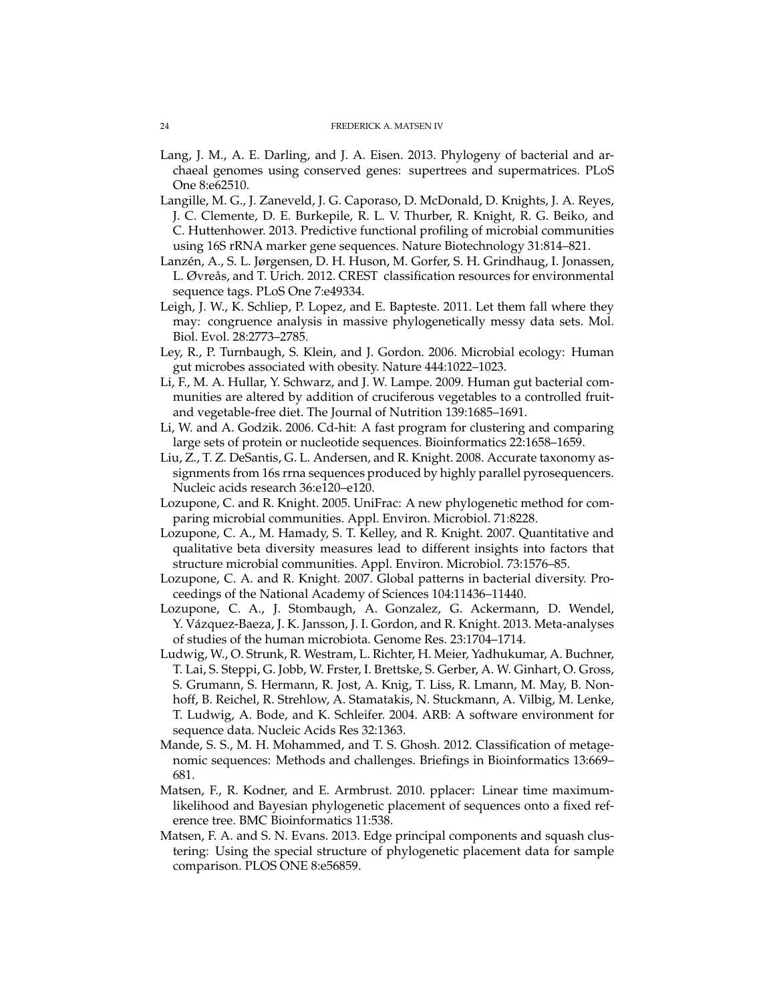- <span id="page-23-3"></span>Lang, J. M., A. E. Darling, and J. A. Eisen. 2013. Phylogeny of bacterial and archaeal genomes using conserved genes: supertrees and supermatrices. PLoS One 8:e62510.
- <span id="page-23-13"></span>Langille, M. G., J. Zaneveld, J. G. Caporaso, D. McDonald, D. Knights, J. A. Reyes, J. C. Clemente, D. E. Burkepile, R. L. V. Thurber, R. Knight, R. G. Beiko, and C. Huttenhower. 2013. Predictive functional profiling of microbial communities using 16S rRNA marker gene sequences. Nature Biotechnology 31:814–821.
- <span id="page-23-6"></span>Lanzén, A., S. L. Jørgensen, D. H. Huson, M. Gorfer, S. H. Grindhaug, I. Jonassen, L. Øvreås, and T. Urich. 2012. CREST classification resources for environmental sequence tags. PLoS One 7:e49334.
- <span id="page-23-2"></span>Leigh, J. W., K. Schliep, P. Lopez, and E. Bapteste. 2011. Let them fall where they may: congruence analysis in massive phylogenetically messy data sets. Mol. Biol. Evol. 28:2773–2785.
- <span id="page-23-1"></span>Ley, R., P. Turnbaugh, S. Klein, and J. Gordon. 2006. Microbial ecology: Human gut microbes associated with obesity. Nature 444:1022–1023.
- <span id="page-23-0"></span>Li, F., M. A. Hullar, Y. Schwarz, and J. W. Lampe. 2009. Human gut bacterial communities are altered by addition of cruciferous vegetables to a controlled fruitand vegetable-free diet. The Journal of Nutrition 139:1685–1691.
- <span id="page-23-7"></span>Li, W. and A. Godzik. 2006. Cd-hit: A fast program for clustering and comparing large sets of protein or nucleotide sequences. Bioinformatics 22:1658–1659.
- <span id="page-23-4"></span>Liu, Z., T. Z. DeSantis, G. L. Andersen, and R. Knight. 2008. Accurate taxonomy assignments from 16s rrna sequences produced by highly parallel pyrosequencers. Nucleic acids research 36:e120–e120.
- <span id="page-23-9"></span>Lozupone, C. and R. Knight. 2005. UniFrac: A new phylogenetic method for comparing microbial communities. Appl. Environ. Microbiol. 71:8228.
- <span id="page-23-10"></span>Lozupone, C. A., M. Hamady, S. T. Kelley, and R. Knight. 2007. Quantitative and qualitative beta diversity measures lead to different insights into factors that structure microbial communities. Appl. Environ. Microbiol. 73:1576–85.
- <span id="page-23-8"></span>Lozupone, C. A. and R. Knight. 2007. Global patterns in bacterial diversity. Proceedings of the National Academy of Sciences 104:11436–11440.
- <span id="page-23-11"></span>Lozupone, C. A., J. Stombaugh, A. Gonzalez, G. Ackermann, D. Wendel, Y. Vazquez-Baeza, J. K. Jansson, J. I. Gordon, and R. Knight. 2013. Meta-analyses ´ of studies of the human microbiota. Genome Res. 23:1704–1714.
- <span id="page-23-14"></span>Ludwig, W., O. Strunk, R. Westram, L. Richter, H. Meier, Yadhukumar, A. Buchner, T. Lai, S. Steppi, G. Jobb, W. Frster, I. Brettske, S. Gerber, A. W. Ginhart, O. Gross, S. Grumann, S. Hermann, R. Jost, A. Knig, T. Liss, R. Lmann, M. May, B. Nonhoff, B. Reichel, R. Strehlow, A. Stamatakis, N. Stuckmann, A. Vilbig, M. Lenke, T. Ludwig, A. Bode, and K. Schleifer. 2004. ARB: A software environment for sequence data. Nucleic Acids Res 32:1363.
- <span id="page-23-5"></span>Mande, S. S., M. H. Mohammed, and T. S. Ghosh. 2012. Classification of metagenomic sequences: Methods and challenges. Briefings in Bioinformatics 13:669– 681.
- <span id="page-23-15"></span>Matsen, F., R. Kodner, and E. Armbrust. 2010. pplacer: Linear time maximumlikelihood and Bayesian phylogenetic placement of sequences onto a fixed reference tree. BMC Bioinformatics 11:538.
- <span id="page-23-12"></span>Matsen, F. A. and S. N. Evans. 2013. Edge principal components and squash clustering: Using the special structure of phylogenetic placement data for sample comparison. PLOS ONE 8:e56859.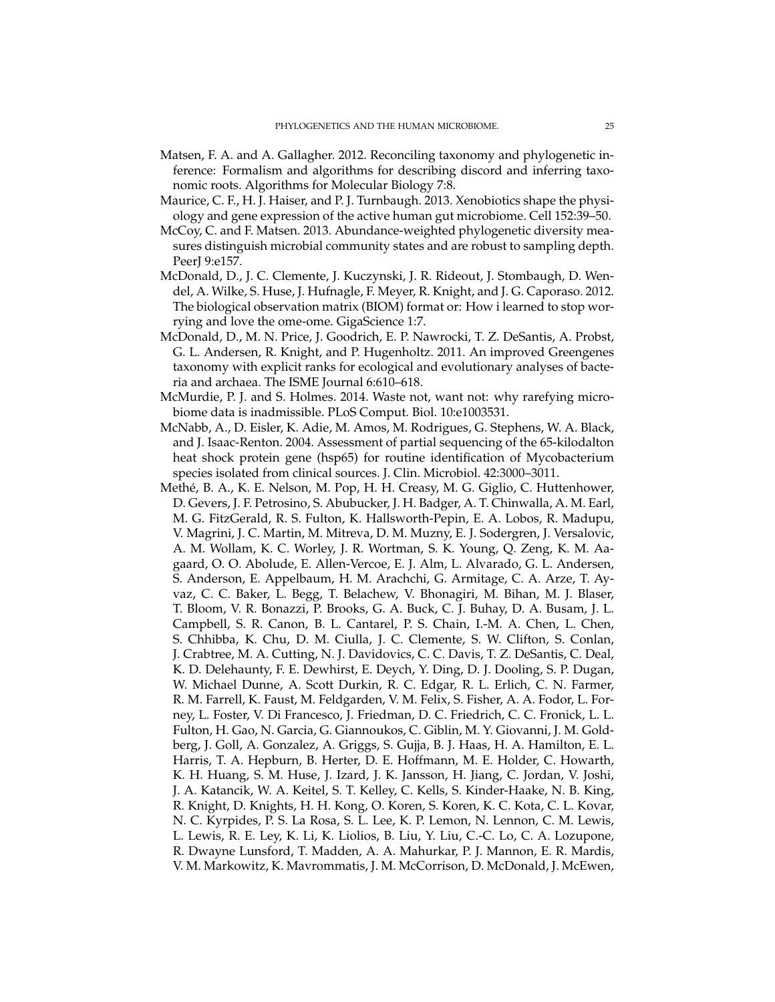- <span id="page-24-4"></span>Matsen, F. A. and A. Gallagher. 2012. Reconciling taxonomy and phylogenetic inference: Formalism and algorithms for describing discord and inferring taxonomic roots. Algorithms for Molecular Biology 7:8.
- <span id="page-24-0"></span>Maurice, C. F., H. J. Haiser, and P. J. Turnbaugh. 2013. Xenobiotics shape the physiology and gene expression of the active human gut microbiome. Cell 152:39–50.
- <span id="page-24-6"></span>McCoy, C. and F. Matsen. 2013. Abundance-weighted phylogenetic diversity measures distinguish microbial community states and are robust to sampling depth. PeerJ 9:e157.
- <span id="page-24-5"></span>McDonald, D., J. C. Clemente, J. Kuczynski, J. R. Rideout, J. Stombaugh, D. Wendel, A. Wilke, S. Huse, J. Hufnagle, F. Meyer, R. Knight, and J. G. Caporaso. 2012. The biological observation matrix (BIOM) format or: How i learned to stop worrying and love the ome-ome. GigaScience 1:7.
- <span id="page-24-3"></span>McDonald, D., M. N. Price, J. Goodrich, E. P. Nawrocki, T. Z. DeSantis, A. Probst, G. L. Andersen, R. Knight, and P. Hugenholtz. 2011. An improved Greengenes taxonomy with explicit ranks for ecological and evolutionary analyses of bacteria and archaea. The ISME Journal 6:610–618.
- <span id="page-24-7"></span>McMurdie, P. J. and S. Holmes. 2014. Waste not, want not: why rarefying microbiome data is inadmissible. PLoS Comput. Biol. 10:e1003531.
- <span id="page-24-2"></span>McNabb, A., D. Eisler, K. Adie, M. Amos, M. Rodrigues, G. Stephens, W. A. Black, and J. Isaac-Renton. 2004. Assessment of partial sequencing of the 65-kilodalton heat shock protein gene (hsp65) for routine identification of Mycobacterium species isolated from clinical sources. J. Clin. Microbiol. 42:3000–3011.
- <span id="page-24-1"></span>Methe, B. A., K. E. Nelson, M. Pop, H. H. Creasy, M. G. Giglio, C. Huttenhower, ´ D. Gevers, J. F. Petrosino, S. Abubucker, J. H. Badger, A. T. Chinwalla, A. M. Earl, M. G. FitzGerald, R. S. Fulton, K. Hallsworth-Pepin, E. A. Lobos, R. Madupu, V. Magrini, J. C. Martin, M. Mitreva, D. M. Muzny, E. J. Sodergren, J. Versalovic, A. M. Wollam, K. C. Worley, J. R. Wortman, S. K. Young, Q. Zeng, K. M. Aagaard, O. O. Abolude, E. Allen-Vercoe, E. J. Alm, L. Alvarado, G. L. Andersen, S. Anderson, E. Appelbaum, H. M. Arachchi, G. Armitage, C. A. Arze, T. Ayvaz, C. C. Baker, L. Begg, T. Belachew, V. Bhonagiri, M. Bihan, M. J. Blaser, T. Bloom, V. R. Bonazzi, P. Brooks, G. A. Buck, C. J. Buhay, D. A. Busam, J. L. Campbell, S. R. Canon, B. L. Cantarel, P. S. Chain, I.-M. A. Chen, L. Chen, S. Chhibba, K. Chu, D. M. Ciulla, J. C. Clemente, S. W. Clifton, S. Conlan, J. Crabtree, M. A. Cutting, N. J. Davidovics, C. C. Davis, T. Z. DeSantis, C. Deal, K. D. Delehaunty, F. E. Dewhirst, E. Deych, Y. Ding, D. J. Dooling, S. P. Dugan, W. Michael Dunne, A. Scott Durkin, R. C. Edgar, R. L. Erlich, C. N. Farmer, R. M. Farrell, K. Faust, M. Feldgarden, V. M. Felix, S. Fisher, A. A. Fodor, L. Forney, L. Foster, V. Di Francesco, J. Friedman, D. C. Friedrich, C. C. Fronick, L. L. Fulton, H. Gao, N. Garcia, G. Giannoukos, C. Giblin, M. Y. Giovanni, J. M. Goldberg, J. Goll, A. Gonzalez, A. Griggs, S. Gujja, B. J. Haas, H. A. Hamilton, E. L. Harris, T. A. Hepburn, B. Herter, D. E. Hoffmann, M. E. Holder, C. Howarth, K. H. Huang, S. M. Huse, J. Izard, J. K. Jansson, H. Jiang, C. Jordan, V. Joshi, J. A. Katancik, W. A. Keitel, S. T. Kelley, C. Kells, S. Kinder-Haake, N. B. King, R. Knight, D. Knights, H. H. Kong, O. Koren, S. Koren, K. C. Kota, C. L. Kovar, N. C. Kyrpides, P. S. La Rosa, S. L. Lee, K. P. Lemon, N. Lennon, C. M. Lewis, L. Lewis, R. E. Ley, K. Li, K. Liolios, B. Liu, Y. Liu, C.-C. Lo, C. A. Lozupone, R. Dwayne Lunsford, T. Madden, A. A. Mahurkar, P. J. Mannon, E. R. Mardis, V. M. Markowitz, K. Mavrommatis, J. M. McCorrison, D. McDonald, J. McEwen,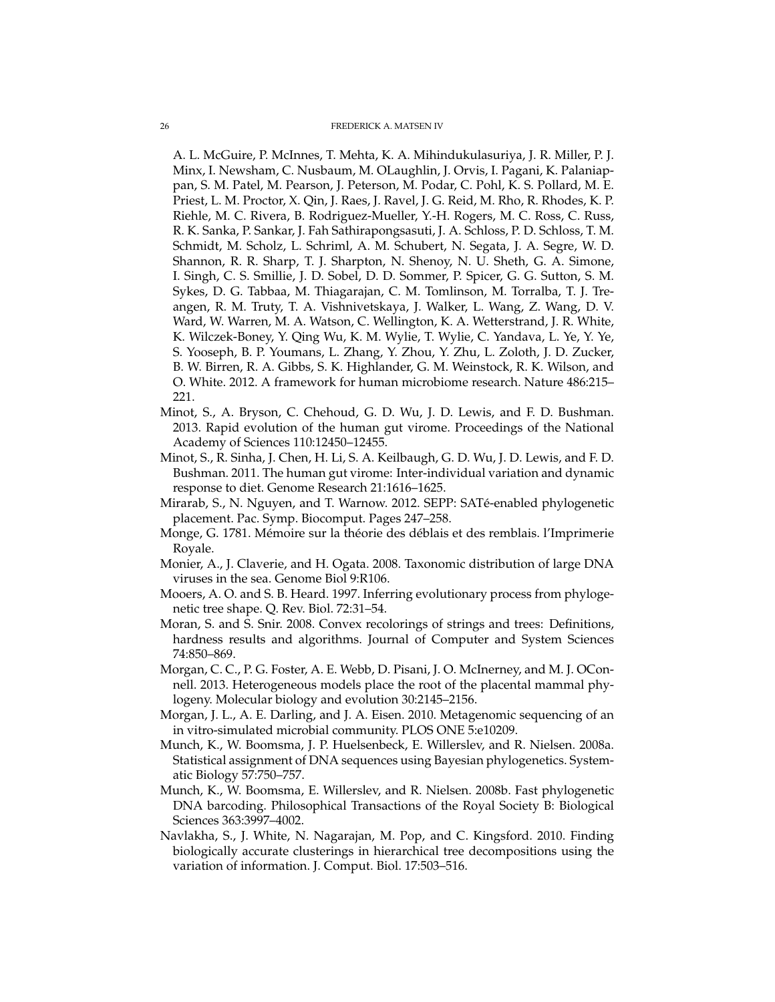A. L. McGuire, P. McInnes, T. Mehta, K. A. Mihindukulasuriya, J. R. Miller, P. J. Minx, I. Newsham, C. Nusbaum, M. OLaughlin, J. Orvis, I. Pagani, K. Palaniappan, S. M. Patel, M. Pearson, J. Peterson, M. Podar, C. Pohl, K. S. Pollard, M. E. Priest, L. M. Proctor, X. Qin, J. Raes, J. Ravel, J. G. Reid, M. Rho, R. Rhodes, K. P. Riehle, M. C. Rivera, B. Rodriguez-Mueller, Y.-H. Rogers, M. C. Ross, C. Russ, R. K. Sanka, P. Sankar, J. Fah Sathirapongsasuti, J. A. Schloss, P. D. Schloss, T. M. Schmidt, M. Scholz, L. Schriml, A. M. Schubert, N. Segata, J. A. Segre, W. D. Shannon, R. R. Sharp, T. J. Sharpton, N. Shenoy, N. U. Sheth, G. A. Simone, I. Singh, C. S. Smillie, J. D. Sobel, D. D. Sommer, P. Spicer, G. G. Sutton, S. M. Sykes, D. G. Tabbaa, M. Thiagarajan, C. M. Tomlinson, M. Torralba, T. J. Treangen, R. M. Truty, T. A. Vishnivetskaya, J. Walker, L. Wang, Z. Wang, D. V. Ward, W. Warren, M. A. Watson, C. Wellington, K. A. Wetterstrand, J. R. White, K. Wilczek-Boney, Y. Qing Wu, K. M. Wylie, T. Wylie, C. Yandava, L. Ye, Y. Ye, S. Yooseph, B. P. Youmans, L. Zhang, Y. Zhou, Y. Zhu, L. Zoloth, J. D. Zucker, B. W. Birren, R. A. Gibbs, S. K. Highlander, G. M. Weinstock, R. K. Wilson, and O. White. 2012. A framework for human microbiome research. Nature 486:215– 221.

- <span id="page-25-1"></span>Minot, S., A. Bryson, C. Chehoud, G. D. Wu, J. D. Lewis, and F. D. Bushman. 2013. Rapid evolution of the human gut virome. Proceedings of the National Academy of Sciences 110:12450–12455.
- <span id="page-25-0"></span>Minot, S., R. Sinha, J. Chen, H. Li, S. A. Keilbaugh, G. D. Wu, J. D. Lewis, and F. D. Bushman. 2011. The human gut virome: Inter-individual variation and dynamic response to diet. Genome Research 21:1616–1625.
- <span id="page-25-10"></span>Mirarab, S., N. Nguyen, and T. Warnow. 2012. SEPP: SATe-enabled phylogenetic ´ placement. Pac. Symp. Biocomput. Pages 247–258.
- <span id="page-25-7"></span>Monge, G. 1781. Mémoire sur la théorie des déblais et des remblais. l'Imprimerie Royale.
- <span id="page-25-9"></span>Monier, A., J. Claverie, and H. Ogata. 2008. Taxonomic distribution of large DNA viruses in the sea. Genome Biol 9:R106.
- <span id="page-25-11"></span>Mooers, A. O. and S. B. Heard. 1997. Inferring evolutionary process from phylogenetic tree shape. Q. Rev. Biol. 72:31–54.
- <span id="page-25-3"></span>Moran, S. and S. Snir. 2008. Convex recolorings of strings and trees: Definitions, hardness results and algorithms. Journal of Computer and System Sciences 74:850–869.
- <span id="page-25-8"></span>Morgan, C. C., P. G. Foster, A. E. Webb, D. Pisani, J. O. McInerney, and M. J. OConnell. 2013. Heterogeneous models place the root of the placental mammal phylogeny. Molecular biology and evolution 30:2145–2156.
- <span id="page-25-2"></span>Morgan, J. L., A. E. Darling, and J. A. Eisen. 2010. Metagenomic sequencing of an in vitro-simulated microbial community. PLOS ONE 5:e10209.
- <span id="page-25-5"></span>Munch, K., W. Boomsma, J. P. Huelsenbeck, E. Willerslev, and R. Nielsen. 2008a. Statistical assignment of DNA sequences using Bayesian phylogenetics. Systematic Biology 57:750–757.
- <span id="page-25-4"></span>Munch, K., W. Boomsma, E. Willerslev, and R. Nielsen. 2008b. Fast phylogenetic DNA barcoding. Philosophical Transactions of the Royal Society B: Biological Sciences 363:3997–4002.
- <span id="page-25-6"></span>Navlakha, S., J. White, N. Nagarajan, M. Pop, and C. Kingsford. 2010. Finding biologically accurate clusterings in hierarchical tree decompositions using the variation of information. J. Comput. Biol. 17:503–516.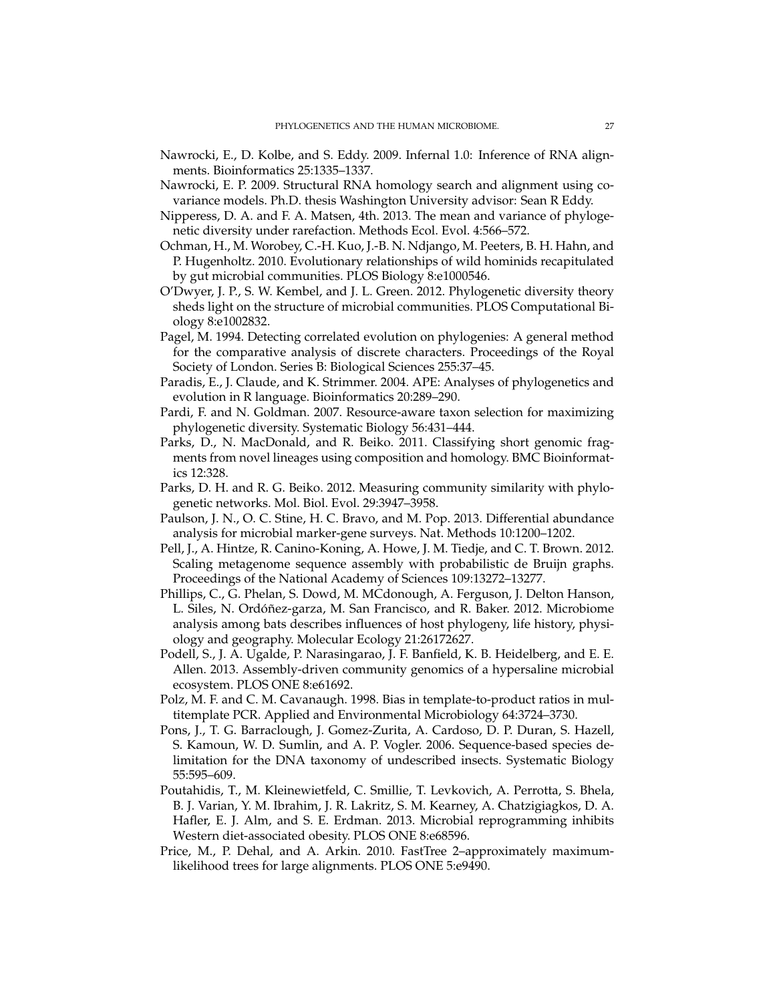- <span id="page-26-9"></span>Nawrocki, E., D. Kolbe, and S. Eddy. 2009. Infernal 1.0: Inference of RNA alignments. Bioinformatics 25:1335–1337.
- <span id="page-26-10"></span>Nawrocki, E. P. 2009. Structural RNA homology search and alignment using covariance models. Ph.D. thesis Washington University advisor: Sean R Eddy.
- <span id="page-26-6"></span>Nipperess, D. A. and F. A. Matsen, 4th. 2013. The mean and variance of phylogenetic diversity under rarefaction. Methods Ecol. Evol. 4:566–572.
- <span id="page-26-15"></span>Ochman, H., M. Worobey, C.-H. Kuo, J.-B. N. Ndjango, M. Peeters, B. H. Hahn, and P. Hugenholtz. 2010. Evolutionary relationships of wild hominids recapitulated by gut microbial communities. PLOS Biology 8:e1000546.
- <span id="page-26-13"></span>O'Dwyer, J. P., S. W. Kembel, and J. L. Green. 2012. Phylogenetic diversity theory sheds light on the structure of microbial communities. PLOS Computational Biology 8:e1002832.
- <span id="page-26-7"></span>Pagel, M. 1994. Detecting correlated evolution on phylogenies: A general method for the comparative analysis of discrete characters. Proceedings of the Royal Society of London. Series B: Biological Sciences 255:37–45.
- <span id="page-26-8"></span>Paradis, E., J. Claude, and K. Strimmer. 2004. APE: Analyses of phylogenetics and evolution in R language. Bioinformatics 20:289–290.
- <span id="page-26-14"></span>Pardi, F. and N. Goldman. 2007. Resource-aware taxon selection for maximizing phylogenetic diversity. Systematic Biology 56:431–444.
- <span id="page-26-4"></span>Parks, D., N. MacDonald, and R. Beiko. 2011. Classifying short genomic fragments from novel lineages using composition and homology. BMC Bioinformatics 12:328.
- <span id="page-26-12"></span>Parks, D. H. and R. G. Beiko. 2012. Measuring community similarity with phylogenetic networks. Mol. Biol. Evol. 29:3947–3958.
- <span id="page-26-17"></span>Paulson, J. N., O. C. Stine, H. C. Bravo, and M. Pop. 2013. Differential abundance analysis for microbial marker-gene surveys. Nat. Methods 10:1200–1202.
- <span id="page-26-2"></span>Pell, J., A. Hintze, R. Canino-Koning, A. Howe, J. M. Tiedje, and C. T. Brown. 2012. Scaling metagenome sequence assembly with probabilistic de Bruijn graphs. Proceedings of the National Academy of Sciences 109:13272–13277.
- <span id="page-26-16"></span>Phillips, C., G. Phelan, S. Dowd, M. MCdonough, A. Ferguson, J. Delton Hanson, L. Siles, N. Ordóñez-garza, M. San Francisco, and R. Baker. 2012. Microbiome analysis among bats describes influences of host phylogeny, life history, physiology and geography. Molecular Ecology 21:26172627.
- <span id="page-26-3"></span>Podell, S., J. A. Ugalde, P. Narasingarao, J. F. Banfield, K. B. Heidelberg, and E. E. Allen. 2013. Assembly-driven community genomics of a hypersaline microbial ecosystem. PLOS ONE 8:e61692.
- <span id="page-26-1"></span>Polz, M. F. and C. M. Cavanaugh. 1998. Bias in template-to-product ratios in multitemplate PCR. Applied and Environmental Microbiology 64:3724–3730.
- <span id="page-26-5"></span>Pons, J., T. G. Barraclough, J. Gomez-Zurita, A. Cardoso, D. P. Duran, S. Hazell, S. Kamoun, W. D. Sumlin, and A. P. Vogler. 2006. Sequence-based species delimitation for the DNA taxonomy of undescribed insects. Systematic Biology 55:595–609.
- <span id="page-26-0"></span>Poutahidis, T., M. Kleinewietfeld, C. Smillie, T. Levkovich, A. Perrotta, S. Bhela, B. J. Varian, Y. M. Ibrahim, J. R. Lakritz, S. M. Kearney, A. Chatzigiagkos, D. A. Hafler, E. J. Alm, and S. E. Erdman. 2013. Microbial reprogramming inhibits Western diet-associated obesity. PLOS ONE 8:e68596.
- <span id="page-26-11"></span>Price, M., P. Dehal, and A. Arkin. 2010. FastTree 2–approximately maximumlikelihood trees for large alignments. PLOS ONE 5:e9490.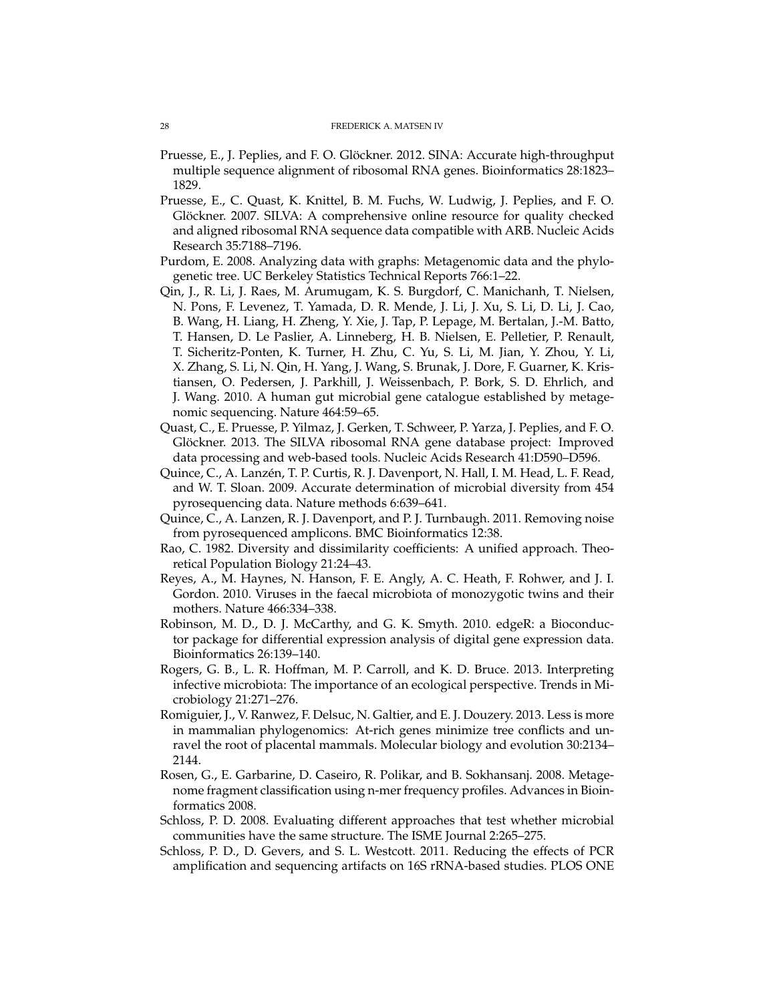- <span id="page-27-10"></span>Pruesse, E., J. Peplies, and F. O. Glöckner. 2012. SINA: Accurate high-throughput multiple sequence alignment of ribosomal RNA genes. Bioinformatics 28:1823– 1829.
- <span id="page-27-11"></span>Pruesse, E., C. Quast, K. Knittel, B. M. Fuchs, W. Ludwig, J. Peplies, and F. O. Glöckner. 2007. SILVA: A comprehensive online resource for quality checked and aligned ribosomal RNA sequence data compatible with ARB. Nucleic Acids Research 35:7188–7196.
- <span id="page-27-8"></span>Purdom, E. 2008. Analyzing data with graphs: Metagenomic data and the phylogenetic tree. UC Berkeley Statistics Technical Reports 766:1–22.
- <span id="page-27-0"></span>Qin, J., R. Li, J. Raes, M. Arumugam, K. S. Burgdorf, C. Manichanh, T. Nielsen, N. Pons, F. Levenez, T. Yamada, D. R. Mende, J. Li, J. Xu, S. Li, D. Li, J. Cao, B. Wang, H. Liang, H. Zheng, Y. Xie, J. Tap, P. Lepage, M. Bertalan, J.-M. Batto, T. Hansen, D. Le Paslier, A. Linneberg, H. B. Nielsen, E. Pelletier, P. Renault, T. Sicheritz-Ponten, K. Turner, H. Zhu, C. Yu, S. Li, M. Jian, Y. Zhou, Y. Li, X. Zhang, S. Li, N. Qin, H. Yang, J. Wang, S. Brunak, J. Dore, F. Guarner, K. Kristiansen, O. Pedersen, J. Parkhill, J. Weissenbach, P. Bork, S. D. Ehrlich, and J. Wang. 2010. A human gut microbial gene catalogue established by metagenomic sequencing. Nature 464:59–65.
- <span id="page-27-12"></span>Quast, C., E. Pruesse, P. Yilmaz, J. Gerken, T. Schweer, P. Yarza, J. Peplies, and F. O. Glöckner. 2013. The SILVA ribosomal RNA gene database project: Improved data processing and web-based tools. Nucleic Acids Research 41:D590–D596.
- <span id="page-27-4"></span>Quince, C., A. Lanzén, T. P. Curtis, R. J. Davenport, N. Hall, I. M. Head, L. F. Read, and W. T. Sloan. 2009. Accurate determination of microbial diversity from 454 pyrosequencing data. Nature methods 6:639–641.
- <span id="page-27-5"></span>Quince, C., A. Lanzen, R. J. Davenport, and P. J. Turnbaugh. 2011. Removing noise from pyrosequenced amplicons. BMC Bioinformatics 12:38.
- <span id="page-27-6"></span>Rao, C. 1982. Diversity and dissimilarity coefficients: A unified approach. Theoretical Population Biology 21:24–43.
- <span id="page-27-1"></span>Reyes, A., M. Haynes, N. Hanson, F. E. Angly, A. C. Heath, F. Rohwer, and J. I. Gordon. 2010. Viruses in the faecal microbiota of monozygotic twins and their mothers. Nature 466:334–338.
- <span id="page-27-13"></span>Robinson, M. D., D. J. McCarthy, and G. K. Smyth. 2010. edgeR: a Bioconductor package for differential expression analysis of digital gene expression data. Bioinformatics 26:139–140.
- <span id="page-27-14"></span>Rogers, G. B., L. R. Hoffman, M. P. Carroll, and K. D. Bruce. 2013. Interpreting infective microbiota: The importance of an ecological perspective. Trends in Microbiology 21:271–276.
- <span id="page-27-9"></span>Romiguier, J., V. Ranwez, F. Delsuc, N. Galtier, and E. J. Douzery. 2013. Less is more in mammalian phylogenomics: At-rich genes minimize tree conflicts and unravel the root of placental mammals. Molecular biology and evolution 30:2134– 2144.
- <span id="page-27-3"></span>Rosen, G., E. Garbarine, D. Caseiro, R. Polikar, and B. Sokhansanj. 2008. Metagenome fragment classification using n-mer frequency profiles. Advances in Bioinformatics 2008.
- <span id="page-27-7"></span>Schloss, P. D. 2008. Evaluating different approaches that test whether microbial communities have the same structure. The ISME Journal 2:265–275.
- <span id="page-27-2"></span>Schloss, P. D., D. Gevers, and S. L. Westcott. 2011. Reducing the effects of PCR amplification and sequencing artifacts on 16S rRNA-based studies. PLOS ONE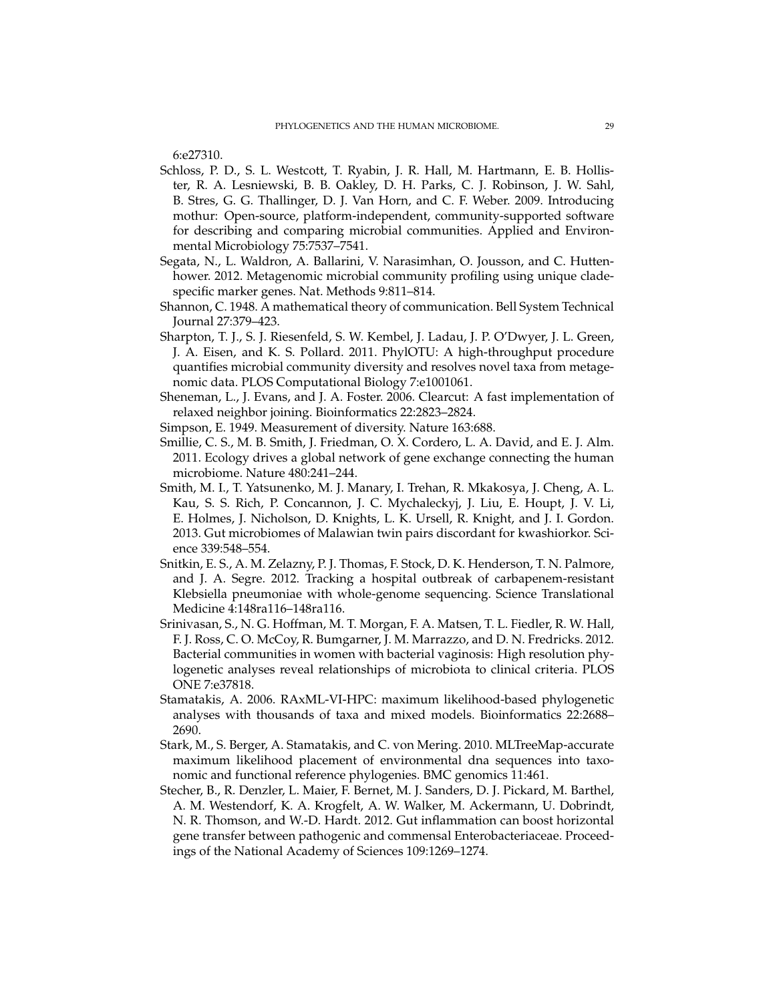6:e27310.

- <span id="page-28-10"></span>Schloss, P. D., S. L. Westcott, T. Ryabin, J. R. Hall, M. Hartmann, E. B. Hollister, R. A. Lesniewski, B. B. Oakley, D. H. Parks, C. J. Robinson, J. W. Sahl, B. Stres, G. G. Thallinger, D. J. Van Horn, and C. F. Weber. 2009. Introducing mothur: Open-source, platform-independent, community-supported software for describing and comparing microbial communities. Applied and Environmental Microbiology 75:7537–7541.
- <span id="page-28-4"></span>Segata, N., L. Waldron, A. Ballarini, V. Narasimhan, O. Jousson, and C. Huttenhower. 2012. Metagenomic microbial community profiling using unique cladespecific marker genes. Nat. Methods 9:811–814.
- <span id="page-28-7"></span>Shannon, C. 1948. A mathematical theory of communication. Bell System Technical Journal 27:379–423.
- <span id="page-28-5"></span>Sharpton, T. J., S. J. Riesenfeld, S. W. Kembel, J. Ladau, J. P. O'Dwyer, J. L. Green, J. A. Eisen, and K. S. Pollard. 2011. PhylOTU: A high-throughput procedure quantifies microbial community diversity and resolves novel taxa from metagenomic data. PLOS Computational Biology 7:e1001061.
- <span id="page-28-11"></span>Sheneman, L., J. Evans, and J. A. Foster. 2006. Clearcut: A fast implementation of relaxed neighbor joining. Bioinformatics 22:2823–2824.
- <span id="page-28-6"></span>Simpson, E. 1949. Measurement of diversity. Nature 163:688.
- <span id="page-28-8"></span>Smillie, C. S., M. B. Smith, J. Friedman, O. X. Cordero, L. A. David, and E. J. Alm. 2011. Ecology drives a global network of gene exchange connecting the human microbiome. Nature 480:241–244.
- <span id="page-28-0"></span>Smith, M. I., T. Yatsunenko, M. J. Manary, I. Trehan, R. Mkakosya, J. Cheng, A. L. Kau, S. S. Rich, P. Concannon, J. C. Mychaleckyj, J. Liu, E. Houpt, J. V. Li, E. Holmes, J. Nicholson, D. Knights, L. K. Ursell, R. Knight, and J. I. Gordon. 2013. Gut microbiomes of Malawian twin pairs discordant for kwashiorkor. Science 339:548–554.
- <span id="page-28-2"></span>Snitkin, E. S., A. M. Zelazny, P. J. Thomas, F. Stock, D. K. Henderson, T. N. Palmore, and J. A. Segre. 2012. Tracking a hospital outbreak of carbapenem-resistant Klebsiella pneumoniae with whole-genome sequencing. Science Translational Medicine 4:148ra116–148ra116.
- <span id="page-28-3"></span>Srinivasan, S., N. G. Hoffman, M. T. Morgan, F. A. Matsen, T. L. Fiedler, R. W. Hall, F. J. Ross, C. O. McCoy, R. Bumgarner, J. M. Marrazzo, and D. N. Fredricks. 2012. Bacterial communities in women with bacterial vaginosis: High resolution phylogenetic analyses reveal relationships of microbiota to clinical criteria. PLOS ONE 7:e37818.
- <span id="page-28-12"></span>Stamatakis, A. 2006. RAxML-VI-HPC: maximum likelihood-based phylogenetic analyses with thousands of taxa and mixed models. Bioinformatics 22:2688– 2690.
- <span id="page-28-1"></span>Stark, M., S. Berger, A. Stamatakis, and C. von Mering. 2010. MLTreeMap-accurate maximum likelihood placement of environmental dna sequences into taxonomic and functional reference phylogenies. BMC genomics 11:461.
- <span id="page-28-9"></span>Stecher, B., R. Denzler, L. Maier, F. Bernet, M. J. Sanders, D. J. Pickard, M. Barthel, A. M. Westendorf, K. A. Krogfelt, A. W. Walker, M. Ackermann, U. Dobrindt, N. R. Thomson, and W.-D. Hardt. 2012. Gut inflammation can boost horizontal gene transfer between pathogenic and commensal Enterobacteriaceae. Proceedings of the National Academy of Sciences 109:1269–1274.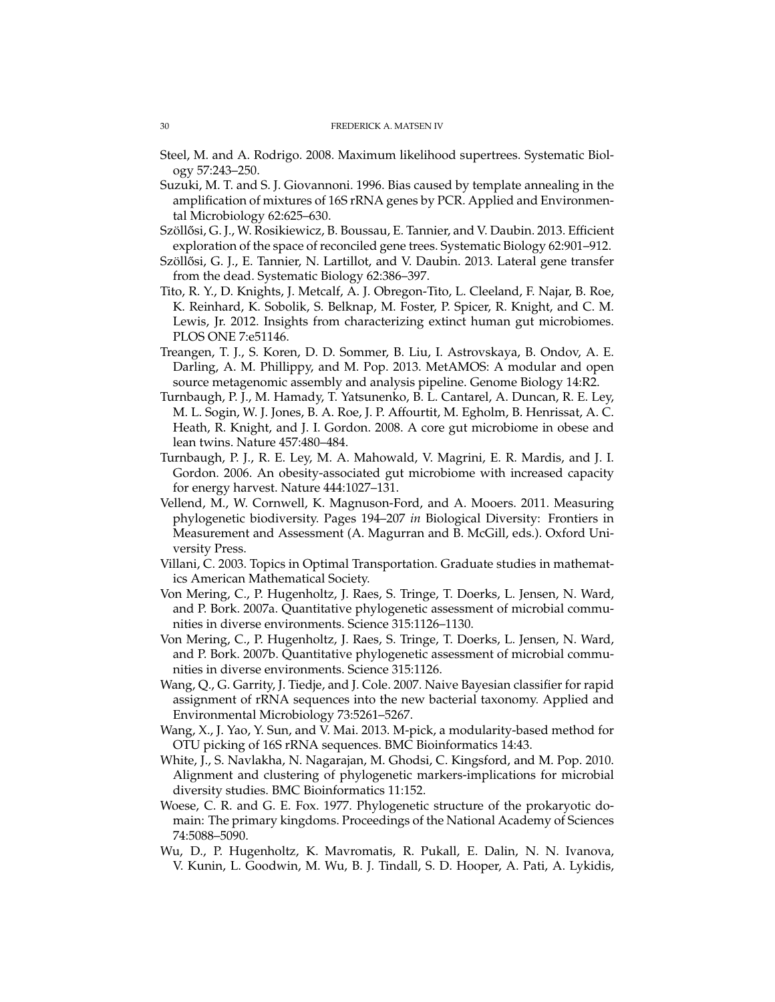<span id="page-29-11"></span>Steel, M. and A. Rodrigo. 2008. Maximum likelihood supertrees. Systematic Biology 57:243–250.

- <span id="page-29-2"></span>Suzuki, M. T. and S. J. Giovannoni. 1996. Bias caused by template annealing in the amplification of mixtures of 16S rRNA genes by PCR. Applied and Environmental Microbiology 62:625–630.
- <span id="page-29-14"></span>Szöllősi, G. J., W. Rosikiewicz, B. Boussau, E. Tannier, and V. Daubin. 2013. Efficient exploration of the space of reconciled gene trees. Systematic Biology 62:901–912.
- <span id="page-29-15"></span>Szöllősi, G. J., E. Tannier, N. Lartillot, and V. Daubin. 2013. Lateral gene transfer from the dead. Systematic Biology 62:386–397.
- <span id="page-29-16"></span>Tito, R. Y., D. Knights, J. Metcalf, A. J. Obregon-Tito, L. Cleeland, F. Najar, B. Roe, K. Reinhard, K. Sobolik, S. Belknap, M. Foster, P. Spicer, R. Knight, and C. M. Lewis, Jr. 2012. Insights from characterizing extinct human gut microbiomes. PLOS ONE 7:e51146.
- <span id="page-29-6"></span>Treangen, T. J., S. Koren, D. D. Sommer, B. Liu, I. Astrovskaya, B. Ondov, A. E. Darling, A. M. Phillippy, and M. Pop. 2013. MetAMOS: A modular and open source metagenomic assembly and analysis pipeline. Genome Biology 14:R2.
- <span id="page-29-0"></span>Turnbaugh, P. J., M. Hamady, T. Yatsunenko, B. L. Cantarel, A. Duncan, R. E. Ley, M. L. Sogin, W. J. Jones, B. A. Roe, J. P. Affourtit, M. Egholm, B. Henrissat, A. C. Heath, R. Knight, and J. I. Gordon. 2008. A core gut microbiome in obese and lean twins. Nature 457:480–484.
- <span id="page-29-1"></span>Turnbaugh, P. J., R. E. Ley, M. A. Mahowald, V. Magrini, E. R. Mardis, and J. I. Gordon. 2006. An obesity-associated gut microbiome with increased capacity for energy harvest. Nature 444:1027–131.
- <span id="page-29-9"></span>Vellend, M., W. Cornwell, K. Magnuson-Ford, and A. Mooers. 2011. Measuring phylogenetic biodiversity. Pages 194–207 *in* Biological Diversity: Frontiers in Measurement and Assessment (A. Magurran and B. McGill, eds.). Oxford University Press.
- <span id="page-29-10"></span>Villani, C. 2003. Topics in Optimal Transportation. Graduate studies in mathematics American Mathematical Society.
- <span id="page-29-3"></span>Von Mering, C., P. Hugenholtz, J. Raes, S. Tringe, T. Doerks, L. Jensen, N. Ward, and P. Bork. 2007a. Quantitative phylogenetic assessment of microbial communities in diverse environments. Science 315:1126–1130.
- <span id="page-29-13"></span>Von Mering, C., P. Hugenholtz, J. Raes, S. Tringe, T. Doerks, L. Jensen, N. Ward, and P. Bork. 2007b. Quantitative phylogenetic assessment of microbial communities in diverse environments. Science 315:1126.
- <span id="page-29-5"></span>Wang, Q., G. Garrity, J. Tiedje, and J. Cole. 2007. Naive Bayesian classifier for rapid assignment of rRNA sequences into the new bacterial taxonomy. Applied and Environmental Microbiology 73:5261–5267.
- <span id="page-29-7"></span>Wang, X., J. Yao, Y. Sun, and V. Mai. 2013. M-pick, a modularity-based method for OTU picking of 16S rRNA sequences. BMC Bioinformatics 14:43.
- <span id="page-29-8"></span>White, J., S. Navlakha, N. Nagarajan, M. Ghodsi, C. Kingsford, and M. Pop. 2010. Alignment and clustering of phylogenetic markers-implications for microbial diversity studies. BMC Bioinformatics 11:152.
- <span id="page-29-4"></span>Woese, C. R. and G. E. Fox. 1977. Phylogenetic structure of the prokaryotic domain: The primary kingdoms. Proceedings of the National Academy of Sciences 74:5088–5090.
- <span id="page-29-12"></span>Wu, D., P. Hugenholtz, K. Mavromatis, R. Pukall, E. Dalin, N. N. Ivanova, V. Kunin, L. Goodwin, M. Wu, B. J. Tindall, S. D. Hooper, A. Pati, A. Lykidis,